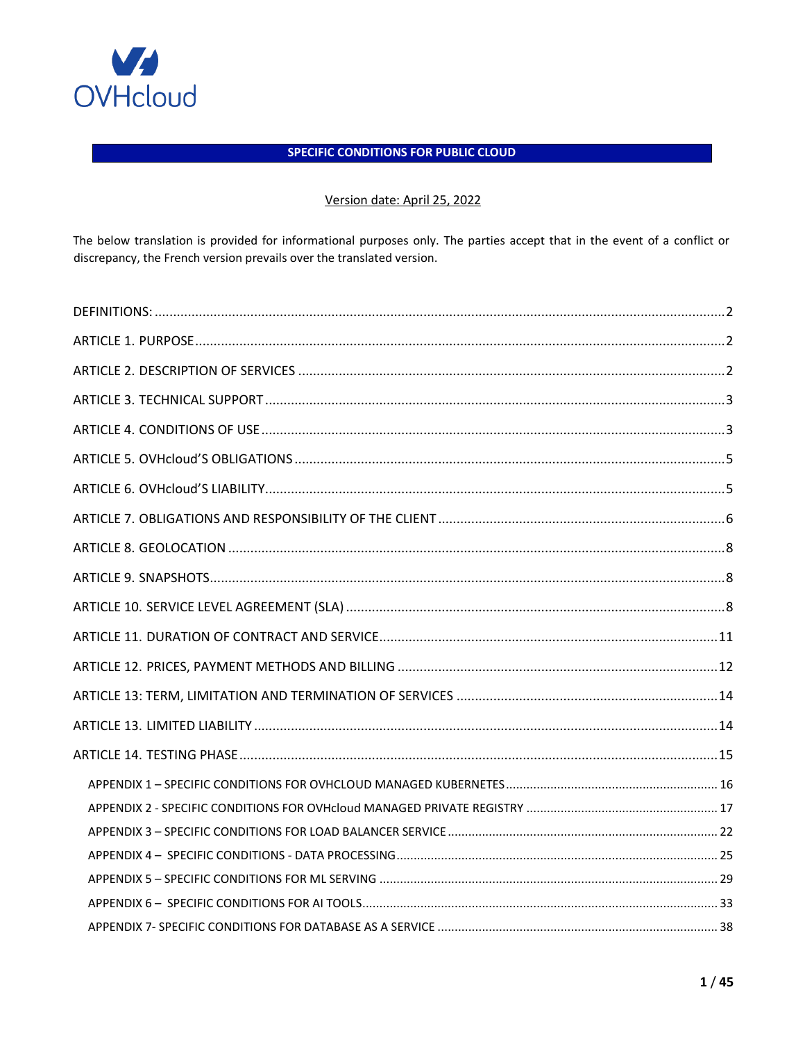

# **SPECIFIC CONDITIONS FOR PUBLIC CLOUD**

# Version date: April 25, 2022

The below translation is provided for informational purposes only. The parties accept that in the event of a conflict or discrepancy, the French version prevails over the translated version.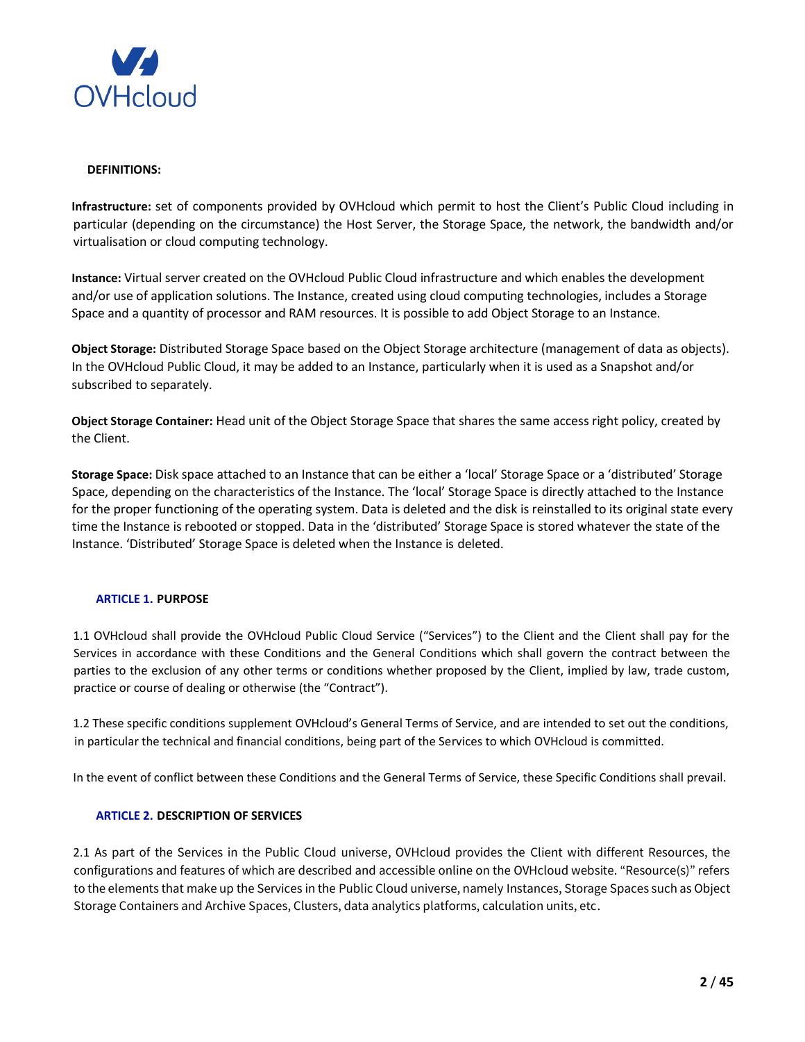

### <span id="page-1-0"></span>**DEFINITIONS:**

**Infrastructure:** set of components provided by OVHcloud which permit to host the Client's Public Cloud including in particular (depending on the circumstance) the Host Server, the Storage Space, the network, the bandwidth and/or virtualisation or cloud computing technology.

**Instance:** Virtual server created on the OVHcloud Public Cloud infrastructure and which enables the development and/or use of application solutions. The Instance, created using cloud computing technologies, includes a Storage Space and a quantity of processor and RAM resources. It is possible to add Object Storage to an Instance.

**Object Storage:** Distributed Storage Space based on the Object Storage architecture (management of data as objects). In the OVHcloud Public Cloud, it may be added to an Instance, particularly when it is used as a Snapshot and/or subscribed to separately.

**Object Storage Container:** Head unit of the Object Storage Space that shares the same access right policy, created by the Client.

**Storage Space:** Disk space attached to an Instance that can be either a 'local' Storage Space or a 'distributed' Storage Space, depending on the characteristics of the Instance. The 'local' Storage Space is directly attached to the Instance for the proper functioning of the operating system. Data is deleted and the disk is reinstalled to its original state every time the Instance is rebooted or stopped. Data in the 'distributed' Storage Space is stored whatever the state of the Instance. 'Distributed' Storage Space is deleted when the Instance is deleted.

## <span id="page-1-1"></span>**ARTICLE 1. PURPOSE**

1.1 OVHcloud shall provide the OVHcloud Public Cloud Service ("Services") to the Client and the Client shall pay for the Services in accordance with these Conditions and the General Conditions which shall govern the contract between the parties to the exclusion of any other terms or conditions whether proposed by the Client, implied by law, trade custom, practice or course of dealing or otherwise (the "Contract").

1.2 These specific conditions supplement OVHcloud's General Terms of Service, and are intended to set out the conditions, in particular the technical and financial conditions, being part of the Services to which OVHcloud is committed.

In the event of conflict between these Conditions and the General Terms of Service, these Specific Conditions shall prevail.

## <span id="page-1-2"></span>**ARTICLE 2. DESCRIPTION OF SERVICES**

2.1 As part of the Services in the Public Cloud universe, OVHcloud provides the Client with different Resources, the configurations and features of which are described and accessible online on the OVHcloud website. "Resource(s)" refers to the elements that make up the Services in the Public Cloud universe, namely Instances, Storage Spaces such as Object Storage Containers and Archive Spaces, Clusters, data analytics platforms, calculation units, etc.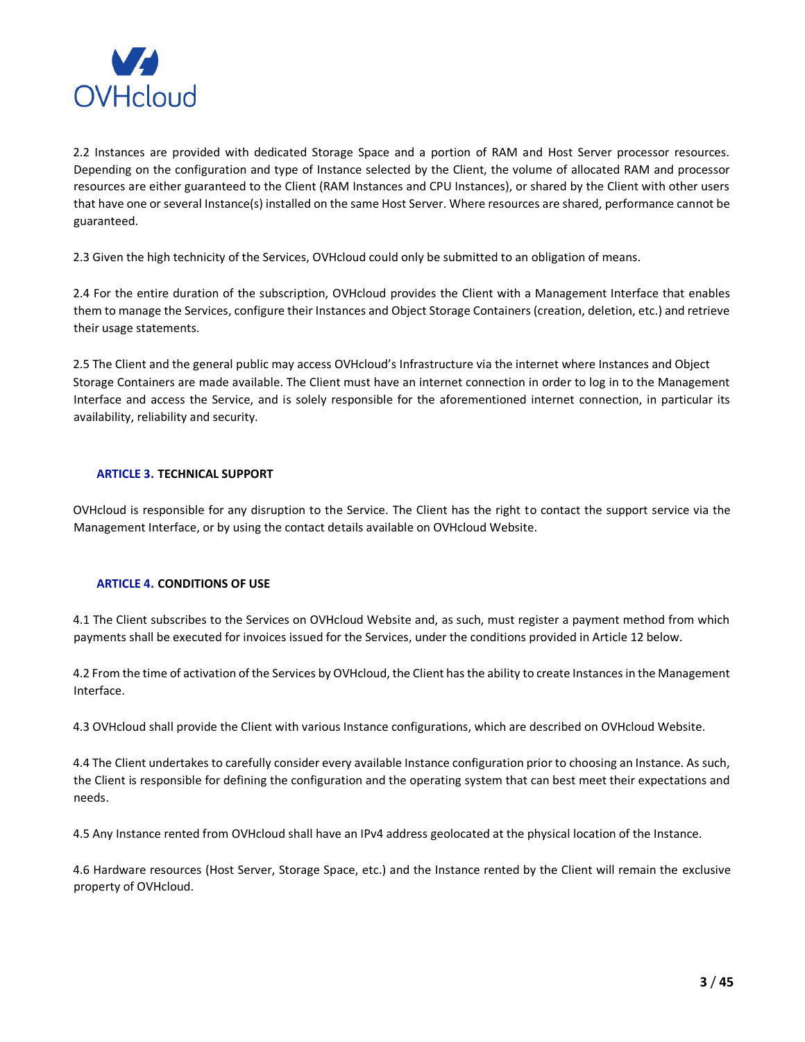

2.2 Instances are provided with dedicated Storage Space and a portion of RAM and Host Server processor resources. Depending on the configuration and type of Instance selected by the Client, the volume of allocated RAM and processor resources are either guaranteed to the Client (RAM Instances and CPU Instances), or shared by the Client with other users that have one or several Instance(s) installed on the same Host Server. Where resources are shared, performance cannot be guaranteed.

2.3 Given the high technicity of the Services, OVHcloud could only be submitted to an obligation of means.

2.4 For the entire duration of the subscription, OVHcloud provides the Client with a Management Interface that enables them to manage the Services, configure their Instances and Object Storage Containers (creation, deletion, etc.) and retrieve their usage statements.

2.5 The Client and the general public may access OVHcloud's Infrastructure via the internet where Instances and Object Storage Containers are made available. The Client must have an internet connection in order to log in to the Management Interface and access the Service, and is solely responsible for the aforementioned internet connection, in particular its availability, reliability and security.

# <span id="page-2-0"></span>**ARTICLE 3. TECHNICAL SUPPORT**

OVHcloud is responsible for any disruption to the Service. The Client has the right to contact the support service via the Management Interface, or by using the contact details available on OVHcloud Website.

## <span id="page-2-1"></span>**ARTICLE 4. CONDITIONS OF USE**

4.1 The Client subscribes to the Services on OVHcloud Website and, as such, must register a payment method from which payments shall be executed for invoices issued for the Services, under the conditions provided in Article 12 below.

4.2 From the time of activation of the Services by OVHcloud, the Client has the ability to create Instances in the Management Interface.

4.3 OVHcloud shall provide the Client with various Instance configurations, which are described on OVHcloud Website.

4.4 The Client undertakes to carefully consider every available Instance configuration prior to choosing an Instance. As such, the Client is responsible for defining the configuration and the operating system that can best meet their expectations and needs.

4.5 Any Instance rented from OVHcloud shall have an IPv4 address geolocated at the physical location of the Instance.

4.6 Hardware resources (Host Server, Storage Space, etc.) and the Instance rented by the Client will remain the exclusive property of OVHcloud.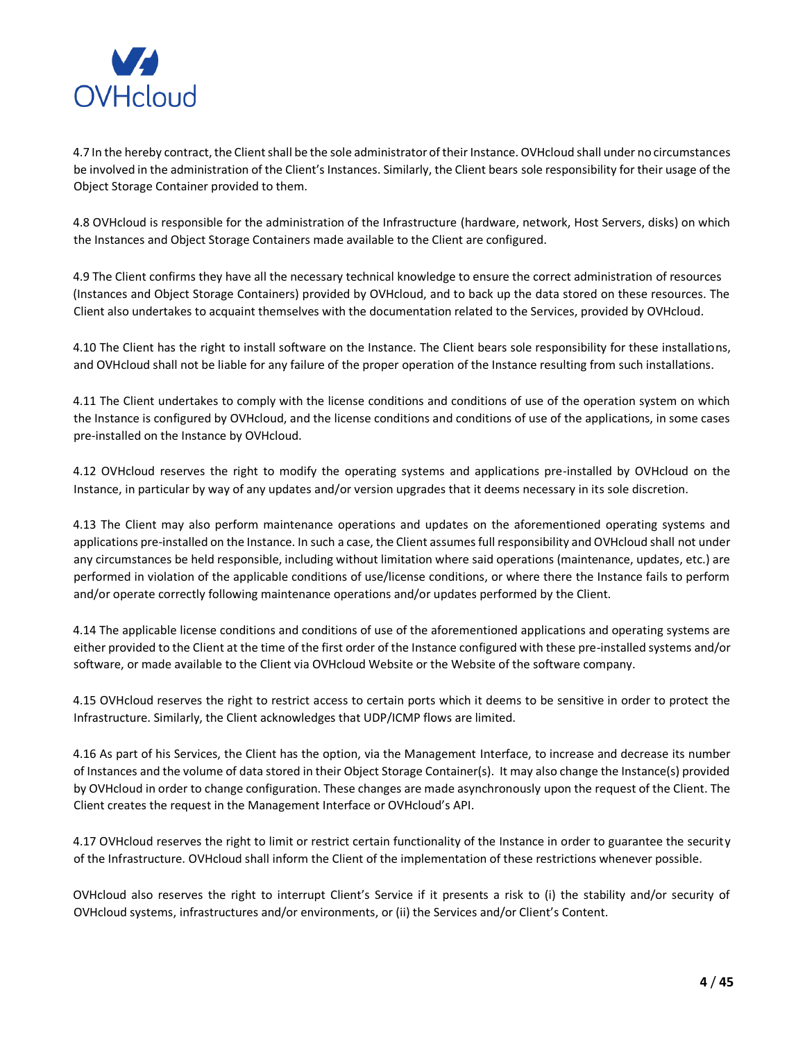

4.7 In the hereby contract, the Client shall be the sole administrator of their Instance. OVHcloud shall under no circumstances be involved in the administration of the Client's Instances. Similarly, the Client bears sole responsibility for their usage of the Object Storage Container provided to them.

4.8 OVHcloud is responsible for the administration of the Infrastructure (hardware, network, Host Servers, disks) on which the Instances and Object Storage Containers made available to the Client are configured.

4.9 The Client confirms they have all the necessary technical knowledge to ensure the correct administration of resources (Instances and Object Storage Containers) provided by OVHcloud, and to back up the data stored on these resources. The Client also undertakes to acquaint themselves with the documentation related to the Services, provided by OVHcloud.

4.10 The Client has the right to install software on the Instance. The Client bears sole responsibility for these installations, and OVHcloud shall not be liable for any failure of the proper operation of the Instance resulting from such installations.

4.11 The Client undertakes to comply with the license conditions and conditions of use of the operation system on which the Instance is configured by OVHcloud, and the license conditions and conditions of use of the applications, in some cases pre-installed on the Instance by OVHcloud.

4.12 OVHcloud reserves the right to modify the operating systems and applications pre-installed by OVHcloud on the Instance, in particular by way of any updates and/or version upgrades that it deems necessary in its sole discretion.

4.13 The Client may also perform maintenance operations and updates on the aforementioned operating systems and applications pre-installed on the Instance. In such a case, the Client assumes full responsibility and OVHcloud shall not under any circumstances be held responsible, including without limitation where said operations (maintenance, updates, etc.) are performed in violation of the applicable conditions of use/license conditions, or where there the Instance fails to perform and/or operate correctly following maintenance operations and/or updates performed by the Client.

4.14 The applicable license conditions and conditions of use of the aforementioned applications and operating systems are either provided to the Client at the time of the first order of the Instance configured with these pre-installed systems and/or software, or made available to the Client via OVHcloud Website or the Website of the software company.

4.15 OVHcloud reserves the right to restrict access to certain ports which it deems to be sensitive in order to protect the Infrastructure. Similarly, the Client acknowledges that UDP/ICMP flows are limited.

4.16 As part of his Services, the Client has the option, via the Management Interface, to increase and decrease its number of Instances and the volume of data stored in their Object Storage Container(s). It may also change the Instance(s) provided by OVHcloud in order to change configuration. These changes are made asynchronously upon the request of the Client. The Client creates the request in the Management Interface or OVHcloud's API.

4.17 OVHcloud reserves the right to limit or restrict certain functionality of the Instance in order to guarantee the security of the Infrastructure. OVHcloud shall inform the Client of the implementation of these restrictions whenever possible.

OVHcloud also reserves the right to interrupt Client's Service if it presents a risk to (i) the stability and/or security of OVHcloud systems, infrastructures and/or environments, or (ii) the Services and/or Client's Content.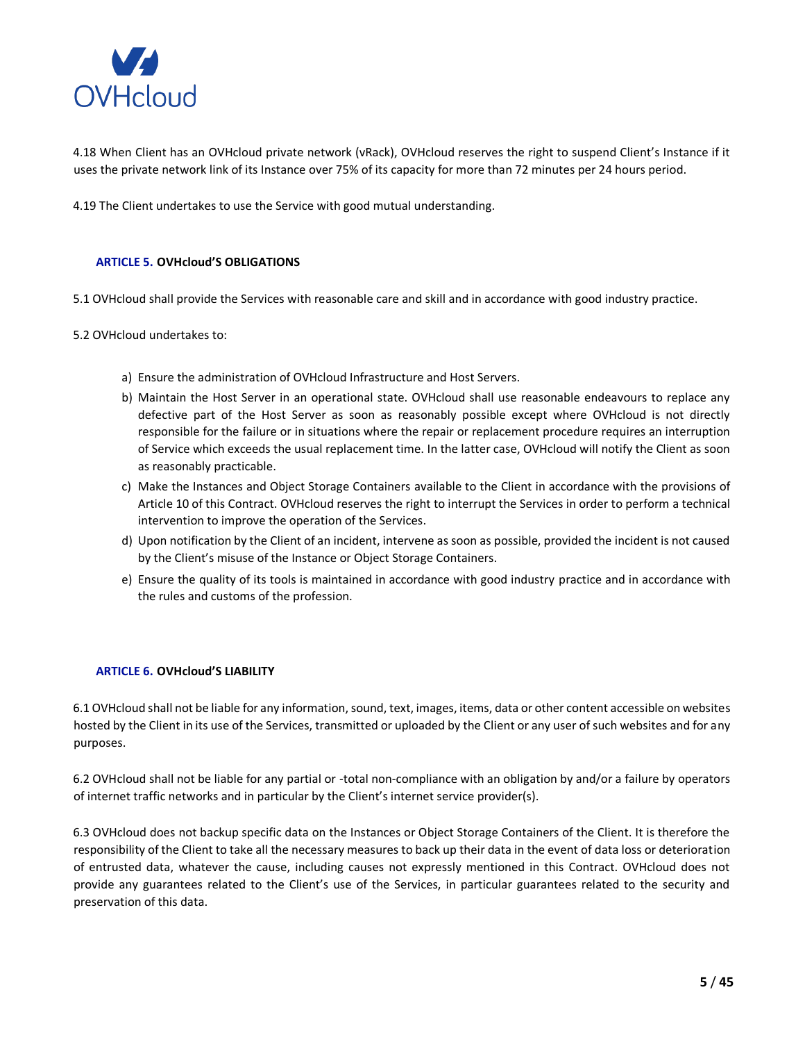

4.18 When Client has an OVHcloud private network (vRack), OVHcloud reserves the right to suspend Client's Instance if it uses the private network link of its Instance over 75% of its capacity for more than 72 minutes per 24 hours period.

4.19 The Client undertakes to use the Service with good mutual understanding.

## <span id="page-4-0"></span>**ARTICLE 5. OVHcloud'S OBLIGATIONS**

5.1 OVHcloud shall provide the Services with reasonable care and skill and in accordance with good industry practice.

5.2 OVHcloud undertakes to:

- a) Ensure the administration of OVHcloud Infrastructure and Host Servers.
- b) Maintain the Host Server in an operational state. OVHcloud shall use reasonable endeavours to replace any defective part of the Host Server as soon as reasonably possible except where OVHcloud is not directly responsible for the failure or in situations where the repair or replacement procedure requires an interruption of Service which exceeds the usual replacement time. In the latter case, OVHcloud will notify the Client as soon as reasonably practicable.
- c) Make the Instances and Object Storage Containers available to the Client in accordance with the provisions of Article 10 of this Contract. OVHcloud reserves the right to interrupt the Services in order to perform a technical intervention to improve the operation of the Services.
- d) Upon notification by the Client of an incident, intervene as soon as possible, provided the incident is not caused by the Client's misuse of the Instance or Object Storage Containers.
- e) Ensure the quality of its tools is maintained in accordance with good industry practice and in accordance with the rules and customs of the profession.

## <span id="page-4-1"></span>**ARTICLE 6. OVHcloud'S LIABILITY**

6.1 OVHcloud shall not be liable for any information, sound, text, images, items, data or other content accessible on websites hosted by the Client in its use of the Services, transmitted or uploaded by the Client or any user of such websites and for any purposes.

6.2 OVHcloud shall not be liable for any partial or -total non-compliance with an obligation by and/or a failure by operators of internet traffic networks and in particular by the Client's internet service provider(s).

6.3 OVHcloud does not backup specific data on the Instances or Object Storage Containers of the Client. It is therefore the responsibility of the Client to take all the necessary measures to back up their data in the event of data loss or deterioration of entrusted data, whatever the cause, including causes not expressly mentioned in this Contract. OVHcloud does not provide any guarantees related to the Client's use of the Services, in particular guarantees related to the security and preservation of this data.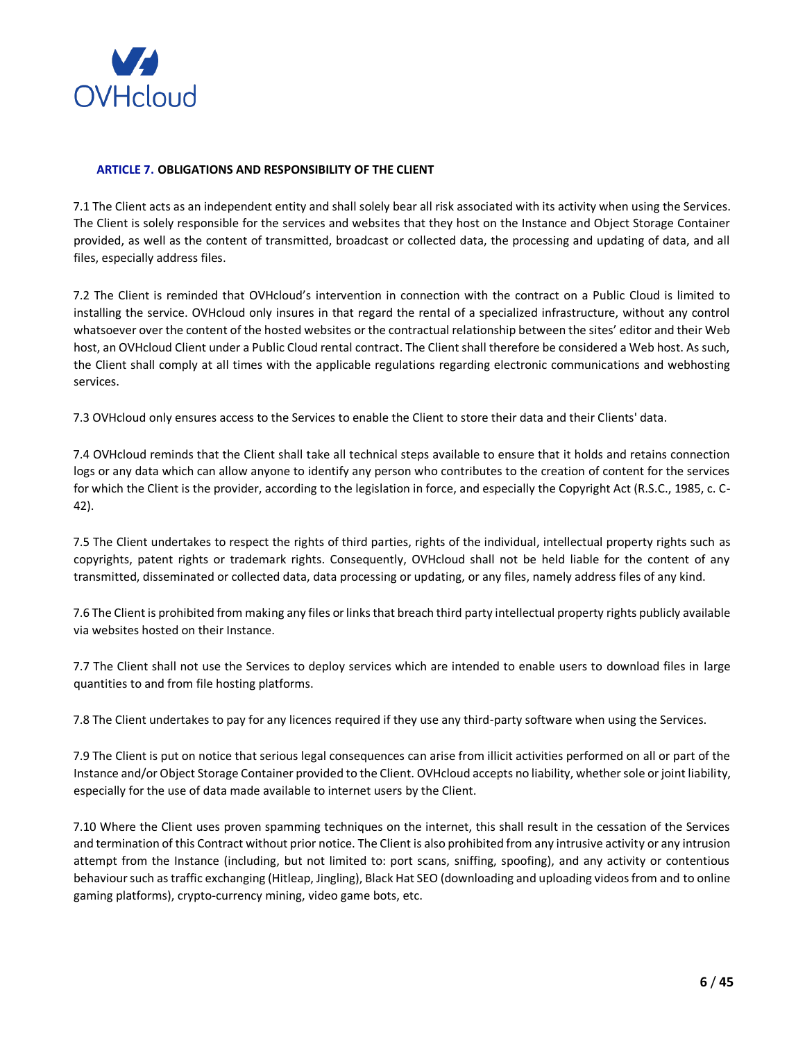

## <span id="page-5-0"></span>**ARTICLE 7. OBLIGATIONS AND RESPONSIBILITY OF THE CLIENT**

7.1 The Client acts as an independent entity and shall solely bear all risk associated with its activity when using the Services. The Client is solely responsible for the services and websites that they host on the Instance and Object Storage Container provided, as well as the content of transmitted, broadcast or collected data, the processing and updating of data, and all files, especially address files.

7.2 The Client is reminded that OVHcloud's intervention in connection with the contract on a Public Cloud is limited to installing the service. OVHcloud only insures in that regard the rental of a specialized infrastructure, without any control whatsoever over the content of the hosted websites or the contractual relationship between the sites' editor and their Web host, an OVHcloud Client under a Public Cloud rental contract. The Client shall therefore be considered a Web host. As such, the Client shall comply at all times with the applicable regulations regarding electronic communications and webhosting services.

7.3 OVHcloud only ensures access to the Services to enable the Client to store their data and their Clients' data.

7.4 OVHcloud reminds that the Client shall take all technical steps available to ensure that it holds and retains connection logs or any data which can allow anyone to identify any person who contributes to the creation of content for the services for which the Client is the provider, according to the legislation in force, and especially the Copyright Act (R.S.C., 1985, c. C-42).

7.5 The Client undertakes to respect the rights of third parties, rights of the individual, intellectual property rights such as copyrights, patent rights or trademark rights. Consequently, OVHcloud shall not be held liable for the content of any transmitted, disseminated or collected data, data processing or updating, or any files, namely address files of any kind.

7.6 The Client is prohibited from making any files or links that breach third party intellectual property rights publicly available via websites hosted on their Instance.

7.7 The Client shall not use the Services to deploy services which are intended to enable users to download files in large quantities to and from file hosting platforms.

7.8 The Client undertakes to pay for any licences required if they use any third-party software when using the Services.

7.9 The Client is put on notice that serious legal consequences can arise from illicit activities performed on all or part of the Instance and/or Object Storage Container provided to the Client. OVHcloud accepts no liability, whether sole or joint liability, especially for the use of data made available to internet users by the Client.

7.10 Where the Client uses proven spamming techniques on the internet, this shall result in the cessation of the Services and termination of this Contract without prior notice. The Client is also prohibited from any intrusive activity or any intrusion attempt from the Instance (including, but not limited to: port scans, sniffing, spoofing), and any activity or contentious behaviour such as traffic exchanging (Hitleap, Jingling), Black Hat SEO (downloading and uploading videos from and to online gaming platforms), crypto-currency mining, video game bots, etc.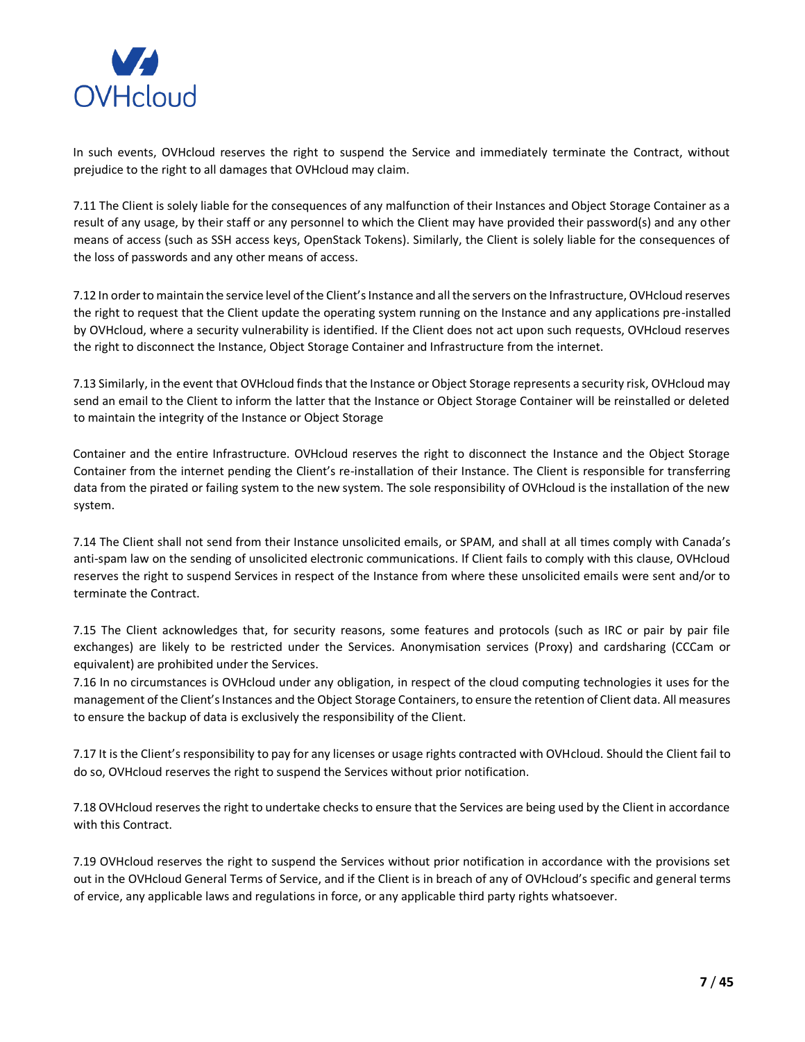

In such events, OVHcloud reserves the right to suspend the Service and immediately terminate the Contract, without prejudice to the right to all damages that OVHcloud may claim.

7.11 The Client is solely liable for the consequences of any malfunction of their Instances and Object Storage Container as a result of any usage, by their staff or any personnel to which the Client may have provided their password(s) and any other means of access (such as SSH access keys, OpenStack Tokens). Similarly, the Client is solely liable for the consequences of the loss of passwords and any other means of access.

7.12 In order to maintain the service level of the Client's Instance and all the servers on the Infrastructure, OVHcloud reserves the right to request that the Client update the operating system running on the Instance and any applications pre-installed by OVHcloud, where a security vulnerability is identified. If the Client does not act upon such requests, OVHcloud reserves the right to disconnect the Instance, Object Storage Container and Infrastructure from the internet.

7.13 Similarly, in the event that OVHcloud finds that the Instance or Object Storage represents a security risk, OVHcloud may send an email to the Client to inform the latter that the Instance or Object Storage Container will be reinstalled or deleted to maintain the integrity of the Instance or Object Storage

Container and the entire Infrastructure. OVHcloud reserves the right to disconnect the Instance and the Object Storage Container from the internet pending the Client's re-installation of their Instance. The Client is responsible for transferring data from the pirated or failing system to the new system. The sole responsibility of OVHcloud is the installation of the new system.

7.14 The Client shall not send from their Instance unsolicited emails, or SPAM, and shall at all times comply with Canada's anti-spam law on the sending of unsolicited electronic communications. If Client fails to comply with this clause, OVHcloud reserves the right to suspend Services in respect of the Instance from where these unsolicited emails were sent and/or to terminate the Contract.

7.15 The Client acknowledges that, for security reasons, some features and protocols (such as IRC or pair by pair file exchanges) are likely to be restricted under the Services. Anonymisation services (Proxy) and cardsharing (CCCam or equivalent) are prohibited under the Services.

7.16 In no circumstances is OVHcloud under any obligation, in respect of the cloud computing technologies it uses for the management of the Client's Instances and the Object Storage Containers, to ensure the retention of Client data. All measures to ensure the backup of data is exclusively the responsibility of the Client.

7.17 It is the Client's responsibility to pay for any licenses or usage rights contracted with OVHcloud. Should the Client fail to do so, OVHcloud reserves the right to suspend the Services without prior notification.

7.18 OVHcloud reserves the right to undertake checks to ensure that the Services are being used by the Client in accordance with this Contract.

7.19 OVHcloud reserves the right to suspend the Services without prior notification in accordance with the provisions set out in the OVHcloud General Terms of Service, and if the Client is in breach of any of OVHcloud's specific and general terms of ervice, any applicable laws and regulations in force, or any applicable third party rights whatsoever.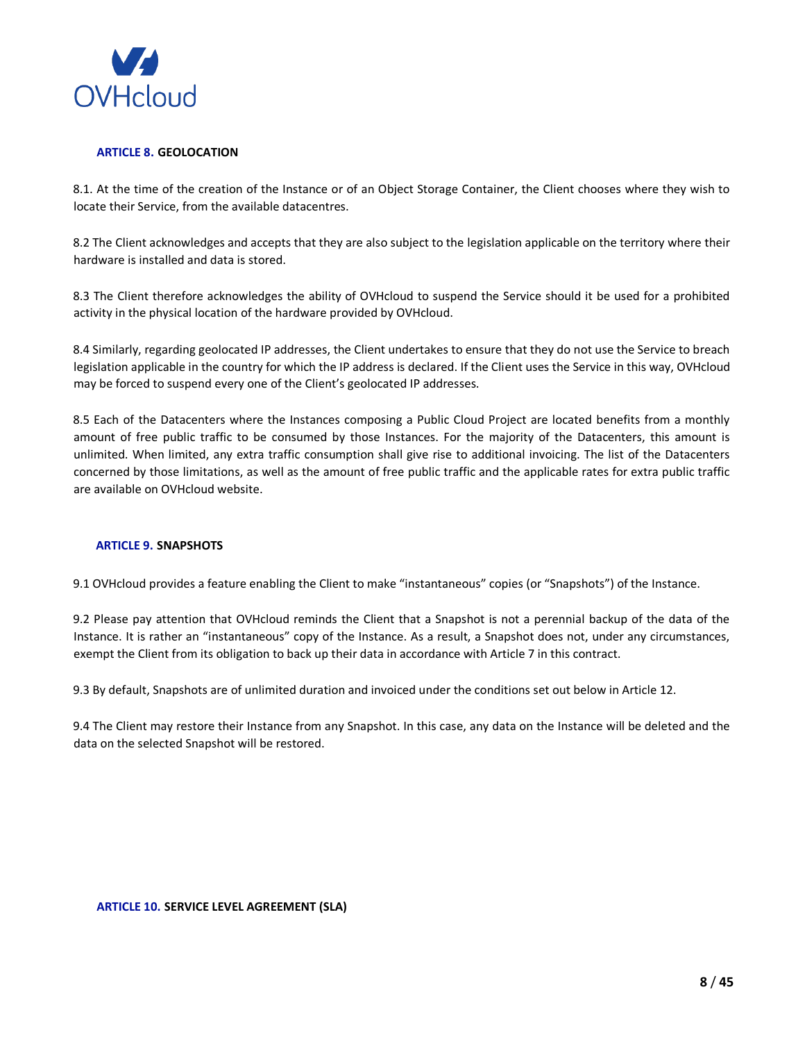

## <span id="page-7-0"></span>**ARTICLE 8. GEOLOCATION**

8.1. At the time of the creation of the Instance or of an Object Storage Container, the Client chooses where they wish to locate their Service, from the available datacentres.

8.2 The Client acknowledges and accepts that they are also subject to the legislation applicable on the territory where their hardware is installed and data is stored.

8.3 The Client therefore acknowledges the ability of OVHcloud to suspend the Service should it be used for a prohibited activity in the physical location of the hardware provided by OVHcloud.

8.4 Similarly, regarding geolocated IP addresses, the Client undertakes to ensure that they do not use the Service to breach legislation applicable in the country for which the IP address is declared. If the Client uses the Service in this way, OVHcloud may be forced to suspend every one of the Client's geolocated IP addresses.

8.5 Each of the Datacenters where the Instances composing a Public Cloud Project are located benefits from a monthly amount of free public traffic to be consumed by those Instances. For the majority of the Datacenters, this amount is unlimited. When limited, any extra traffic consumption shall give rise to additional invoicing. The list of the Datacenters concerned by those limitations, as well as the amount of free public traffic and the applicable rates for extra public traffic are available on OVHcloud website.

## <span id="page-7-1"></span>**ARTICLE 9. SNAPSHOTS**

9.1 OVHcloud provides a feature enabling the Client to make "instantaneous" copies (or "Snapshots") of the Instance.

9.2 Please pay attention that OVHcloud reminds the Client that a Snapshot is not a perennial backup of the data of the Instance. It is rather an "instantaneous" copy of the Instance. As a result, a Snapshot does not, under any circumstances, exempt the Client from its obligation to back up their data in accordance with Article 7 in this contract.

9.3 By default, Snapshots are of unlimited duration and invoiced under the conditions set out below in Article 12.

9.4 The Client may restore their Instance from any Snapshot. In this case, any data on the Instance will be deleted and the data on the selected Snapshot will be restored.

## <span id="page-7-2"></span>**ARTICLE 10. SERVICE LEVEL AGREEMENT (SLA)**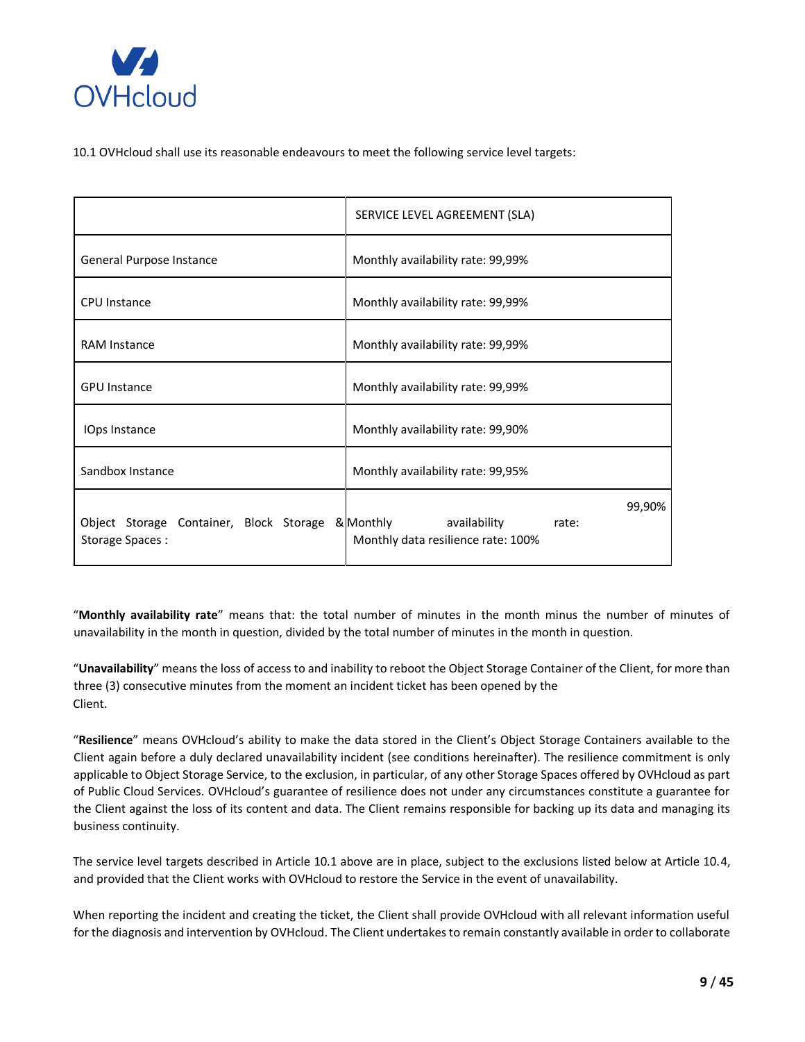

10.1 OVHcloud shall use its reasonable endeavours to meet the following service level targets:

|                                                            | SERVICE LEVEL AGREEMENT (SLA)                                                      |
|------------------------------------------------------------|------------------------------------------------------------------------------------|
| General Purpose Instance                                   | Monthly availability rate: 99,99%                                                  |
| CPU Instance                                               | Monthly availability rate: 99,99%                                                  |
| <b>RAM Instance</b>                                        | Monthly availability rate: 99,99%                                                  |
| <b>GPU Instance</b>                                        | Monthly availability rate: 99,99%                                                  |
| IOps Instance                                              | Monthly availability rate: 99,90%                                                  |
| Sandbox Instance                                           | Monthly availability rate: 99,95%                                                  |
| Object Storage Container, Block Storage<br>Storage Spaces: | 99,90%<br>& Monthly<br>availability<br>rate:<br>Monthly data resilience rate: 100% |

"**Monthly availability rate**" means that: the total number of minutes in the month minus the number of minutes of unavailability in the month in question, divided by the total number of minutes in the month in question.

"**Unavailability**" means the loss of access to and inability to reboot the Object Storage Container of the Client, for more than three (3) consecutive minutes from the moment an incident ticket has been opened by the Client.

"**Resilience**" means OVHcloud's ability to make the data stored in the Client's Object Storage Containers available to the Client again before a duly declared unavailability incident (see conditions hereinafter). The resilience commitment is only applicable to Object Storage Service, to the exclusion, in particular, of any other Storage Spaces offered by OVHcloud as part of Public Cloud Services. OVHcloud's guarantee of resilience does not under any circumstances constitute a guarantee for the Client against the loss of its content and data. The Client remains responsible for backing up its data and managing its business continuity.

The service level targets described in Article 10.1 above are in place, subject to the exclusions listed below at Article 10.4, and provided that the Client works with OVHcloud to restore the Service in the event of unavailability.

When reporting the incident and creating the ticket, the Client shall provide OVHcloud with all relevant information useful for the diagnosis and intervention by OVHcloud. The Client undertakes to remain constantly available in order to collaborate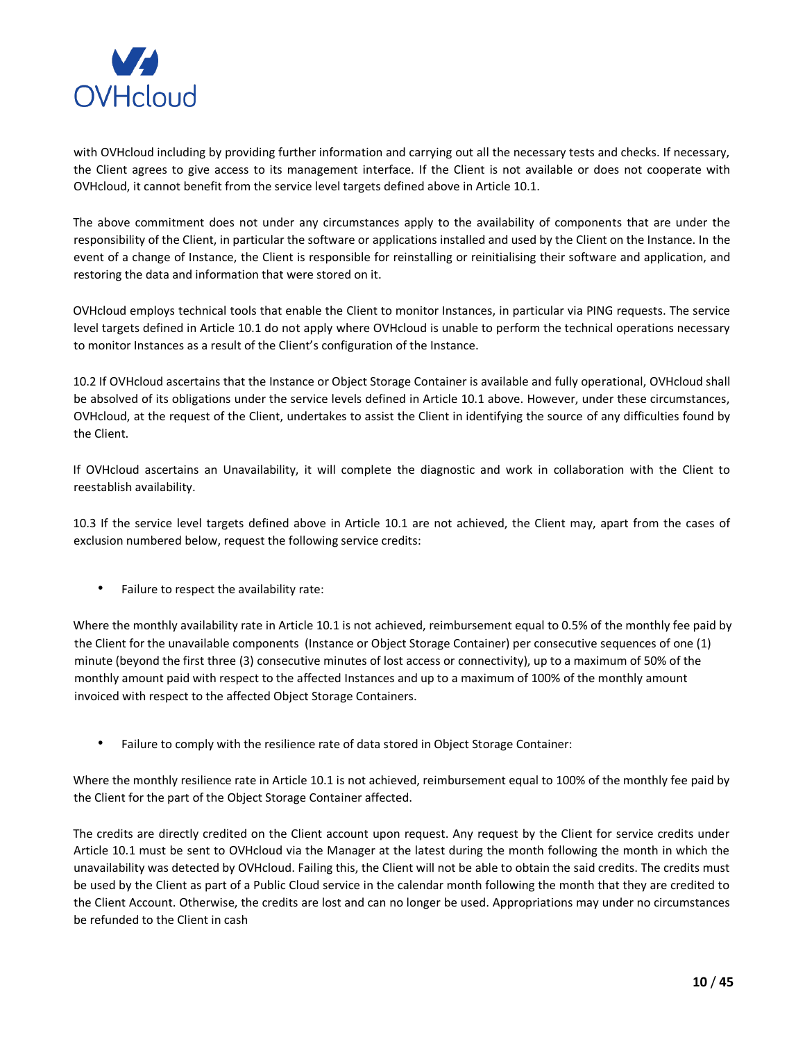

with OVHcloud including by providing further information and carrying out all the necessary tests and checks. If necessary, the Client agrees to give access to its management interface. If the Client is not available or does not cooperate with OVHcloud, it cannot benefit from the service level targets defined above in Article 10.1.

The above commitment does not under any circumstances apply to the availability of components that are under the responsibility of the Client, in particular the software or applications installed and used by the Client on the Instance. In the event of a change of Instance, the Client is responsible for reinstalling or reinitialising their software and application, and restoring the data and information that were stored on it.

OVHcloud employs technical tools that enable the Client to monitor Instances, in particular via PING requests. The service level targets defined in Article 10.1 do not apply where OVHcloud is unable to perform the technical operations necessary to monitor Instances as a result of the Client's configuration of the Instance.

10.2 If OVHcloud ascertains that the Instance or Object Storage Container is available and fully operational, OVHcloud shall be absolved of its obligations under the service levels defined in Article 10.1 above. However, under these circumstances, OVHcloud, at the request of the Client, undertakes to assist the Client in identifying the source of any difficulties found by the Client.

If OVHcloud ascertains an Unavailability, it will complete the diagnostic and work in collaboration with the Client to reestablish availability.

10.3 If the service level targets defined above in Article 10.1 are not achieved, the Client may, apart from the cases of exclusion numbered below, request the following service credits:

• Failure to respect the availability rate:

Where the monthly availability rate in Article 10.1 is not achieved, reimbursement equal to 0.5% of the monthly fee paid by the Client for the unavailable components (Instance or Object Storage Container) per consecutive sequences of one (1) minute (beyond the first three (3) consecutive minutes of lost access or connectivity), up to a maximum of 50% of the monthly amount paid with respect to the affected Instances and up to a maximum of 100% of the monthly amount invoiced with respect to the affected Object Storage Containers.

• Failure to comply with the resilience rate of data stored in Object Storage Container:

Where the monthly resilience rate in Article 10.1 is not achieved, reimbursement equal to 100% of the monthly fee paid by the Client for the part of the Object Storage Container affected.

The credits are directly credited on the Client account upon request. Any request by the Client for service credits under Article 10.1 must be sent to OVHcloud via the Manager at the latest during the month following the month in which the unavailability was detected by OVHcloud. Failing this, the Client will not be able to obtain the said credits. The credits must be used by the Client as part of a Public Cloud service in the calendar month following the month that they are credited to the Client Account. Otherwise, the credits are lost and can no longer be used. Appropriations may under no circumstances be refunded to the Client in cash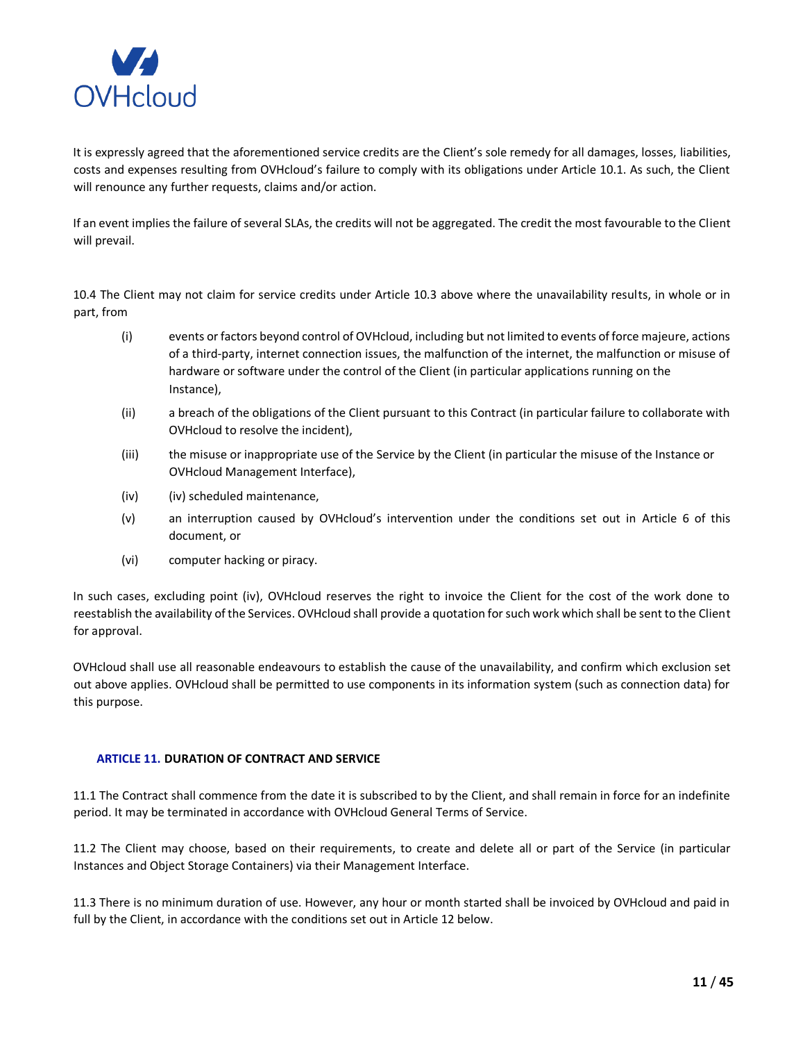

It is expressly agreed that the aforementioned service credits are the Client's sole remedy for all damages, losses, liabilities, costs and expenses resulting from OVHcloud's failure to comply with its obligations under Article 10.1. As such, the Client will renounce any further requests, claims and/or action.

If an event implies the failure of several SLAs, the credits will not be aggregated. The credit the most favourable to the Client will prevail.

10.4 The Client may not claim for service credits under Article 10.3 above where the unavailability results, in whole or in part, from

- (i) events or factors beyond control of OVHcloud, including but not limited to events of force majeure, actions of a third-party, internet connection issues, the malfunction of the internet, the malfunction or misuse of hardware or software under the control of the Client (in particular applications running on the Instance),
- (ii) a breach of the obligations of the Client pursuant to this Contract (in particular failure to collaborate with OVHcloud to resolve the incident),
- (iii) the misuse or inappropriate use of the Service by the Client (in particular the misuse of the Instance or OVHcloud Management Interface),
- (iv) (iv) scheduled maintenance,
- (v) an interruption caused by OVHcloud's intervention under the conditions set out in Article 6 of this document, or
- (vi) computer hacking or piracy.

In such cases, excluding point (iv), OVHcloud reserves the right to invoice the Client for the cost of the work done to reestablish the availability of the Services. OVHcloud shall provide a quotation for such work which shall be sent to the Client for approval.

OVHcloud shall use all reasonable endeavours to establish the cause of the unavailability, and confirm which exclusion set out above applies. OVHcloud shall be permitted to use components in its information system (such as connection data) for this purpose.

## <span id="page-10-0"></span>**ARTICLE 11. DURATION OF CONTRACT AND SERVICE**

11.1 The Contract shall commence from the date it is subscribed to by the Client, and shall remain in force for an indefinite period. It may be terminated in accordance with OVHcloud General Terms of Service.

11.2 The Client may choose, based on their requirements, to create and delete all or part of the Service (in particular Instances and Object Storage Containers) via their Management Interface.

11.3 There is no minimum duration of use. However, any hour or month started shall be invoiced by OVHcloud and paid in full by the Client, in accordance with the conditions set out in Article 12 below.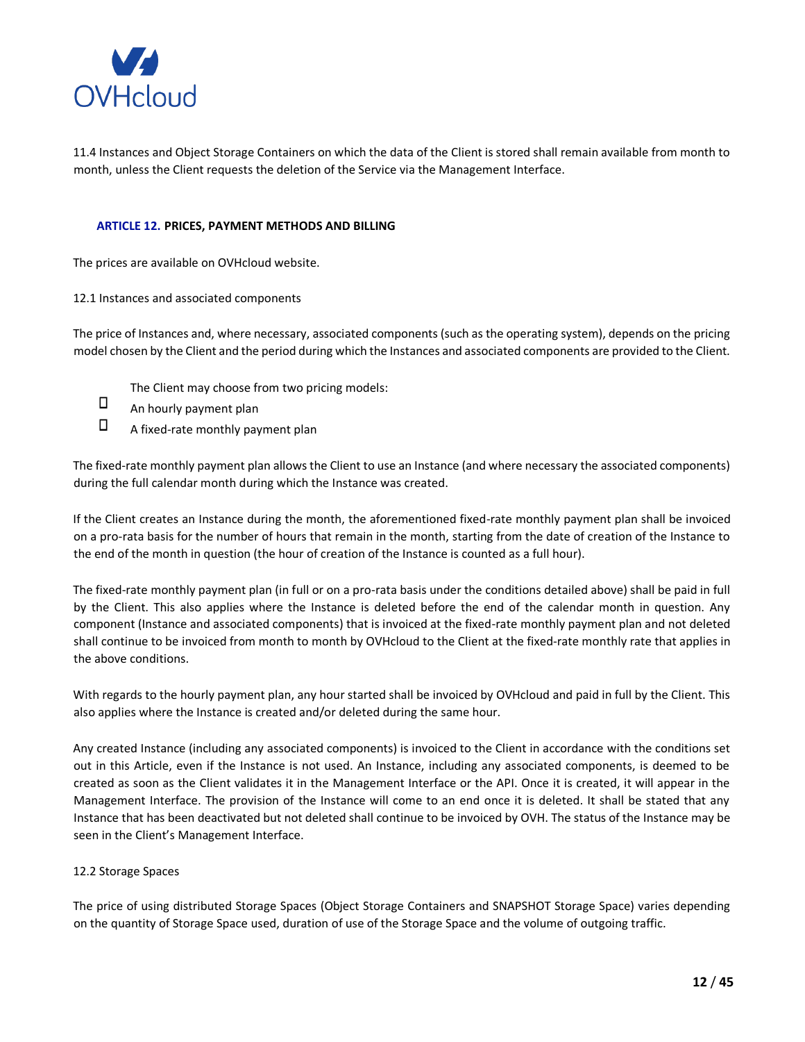

11.4 Instances and Object Storage Containers on which the data of the Client is stored shall remain available from month to month, unless the Client requests the deletion of the Service via the Management Interface.

## <span id="page-11-0"></span>**ARTICLE 12. PRICES, PAYMENT METHODS AND BILLING**

The prices are available on OVHcloud website.

12.1 Instances and associated components

The price of Instances and, where necessary, associated components (such as the operating system), depends on the pricing model chosen by the Client and the period during which the Instances and associated components are provided to the Client.

- The Client may choose from two pricing models:
- $\Box$ An hourly payment plan
- $\Box$ A fixed-rate monthly payment plan

The fixed-rate monthly payment plan allows the Client to use an Instance (and where necessary the associated components) during the full calendar month during which the Instance was created.

If the Client creates an Instance during the month, the aforementioned fixed-rate monthly payment plan shall be invoiced on a pro-rata basis for the number of hours that remain in the month, starting from the date of creation of the Instance to the end of the month in question (the hour of creation of the Instance is counted as a full hour).

The fixed-rate monthly payment plan (in full or on a pro-rata basis under the conditions detailed above) shall be paid in full by the Client. This also applies where the Instance is deleted before the end of the calendar month in question. Any component (Instance and associated components) that is invoiced at the fixed-rate monthly payment plan and not deleted shall continue to be invoiced from month to month by OVHcloud to the Client at the fixed-rate monthly rate that applies in the above conditions.

With regards to the hourly payment plan, any hour started shall be invoiced by OVHcloud and paid in full by the Client. This also applies where the Instance is created and/or deleted during the same hour.

Any created Instance (including any associated components) is invoiced to the Client in accordance with the conditions set out in this Article, even if the Instance is not used. An Instance, including any associated components, is deemed to be created as soon as the Client validates it in the Management Interface or the API. Once it is created, it will appear in the Management Interface. The provision of the Instance will come to an end once it is deleted. It shall be stated that any Instance that has been deactivated but not deleted shall continue to be invoiced by OVH. The status of the Instance may be seen in the Client's Management Interface.

## 12.2 Storage Spaces

The price of using distributed Storage Spaces (Object Storage Containers and SNAPSHOT Storage Space) varies depending on the quantity of Storage Space used, duration of use of the Storage Space and the volume of outgoing traffic.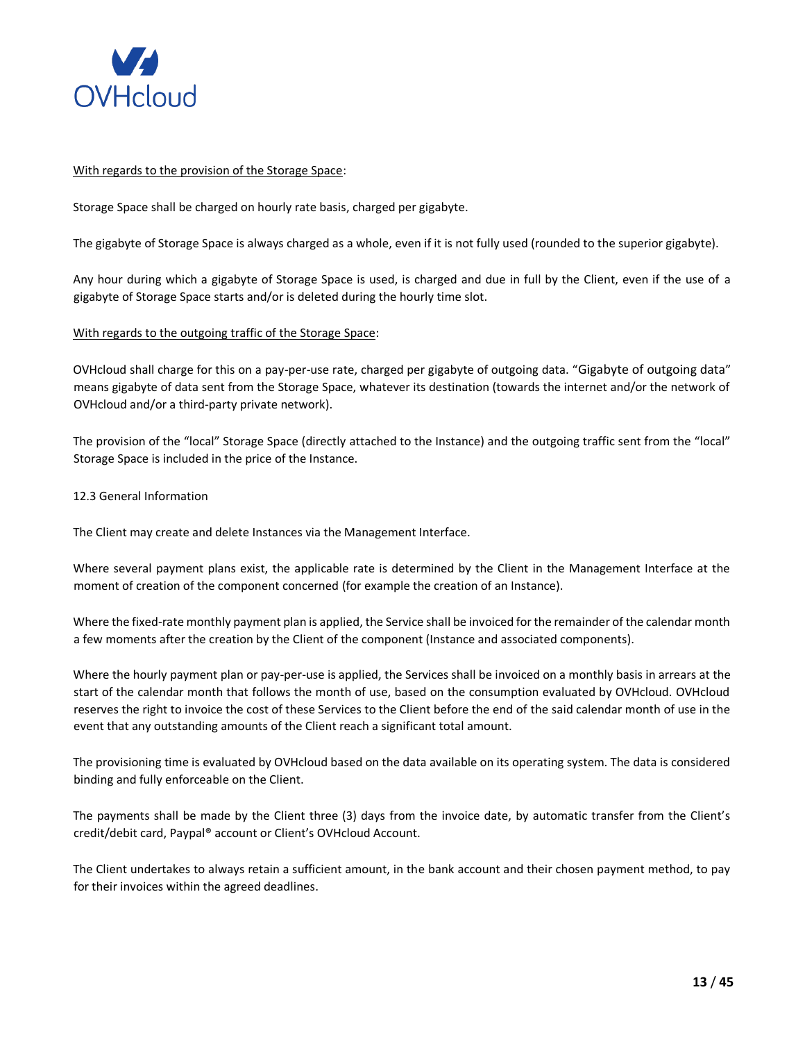

### With regards to the provision of the Storage Space:

Storage Space shall be charged on hourly rate basis, charged per gigabyte.

The gigabyte of Storage Space is always charged as a whole, even if it is not fully used (rounded to the superior gigabyte).

Any hour during which a gigabyte of Storage Space is used, is charged and due in full by the Client, even if the use of a gigabyte of Storage Space starts and/or is deleted during the hourly time slot.

### With regards to the outgoing traffic of the Storage Space:

OVHcloud shall charge for this on a pay-per-use rate, charged per gigabyte of outgoing data. "Gigabyte of outgoing data" means gigabyte of data sent from the Storage Space, whatever its destination (towards the internet and/or the network of OVHcloud and/or a third-party private network).

The provision of the "local" Storage Space (directly attached to the Instance) and the outgoing traffic sent from the "local" Storage Space is included in the price of the Instance.

### 12.3 General Information

The Client may create and delete Instances via the Management Interface.

Where several payment plans exist, the applicable rate is determined by the Client in the Management Interface at the moment of creation of the component concerned (for example the creation of an Instance).

Where the fixed-rate monthly payment plan is applied, the Service shall be invoiced for the remainder of the calendar month a few moments after the creation by the Client of the component (Instance and associated components).

Where the hourly payment plan or pay-per-use is applied, the Services shall be invoiced on a monthly basis in arrears at the start of the calendar month that follows the month of use, based on the consumption evaluated by OVHcloud. OVHcloud reserves the right to invoice the cost of these Services to the Client before the end of the said calendar month of use in the event that any outstanding amounts of the Client reach a significant total amount.

The provisioning time is evaluated by OVHcloud based on the data available on its operating system. The data is considered binding and fully enforceable on the Client.

The payments shall be made by the Client three (3) days from the invoice date, by automatic transfer from the Client's credit/debit card, Paypal® account or Client's OVHcloud Account.

The Client undertakes to always retain a sufficient amount, in the bank account and their chosen payment method, to pay for their invoices within the agreed deadlines.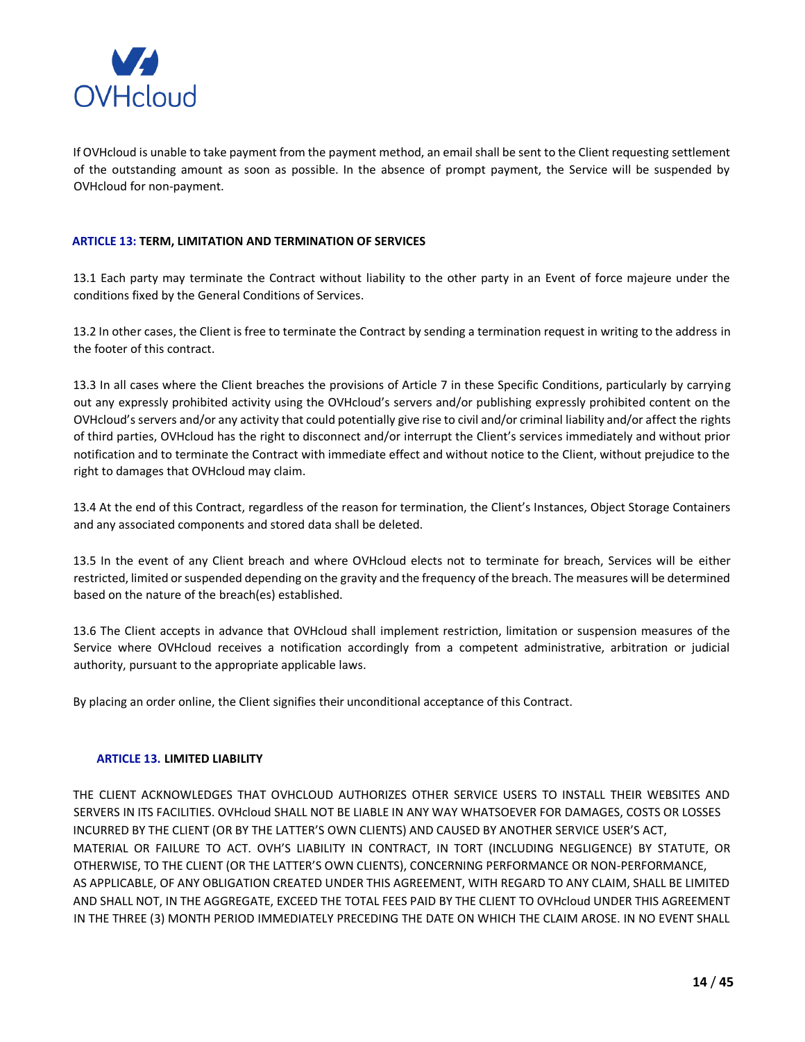

If OVHcloud is unable to take payment from the payment method, an email shall be sent to the Client requesting settlement of the outstanding amount as soon as possible. In the absence of prompt payment, the Service will be suspended by OVHcloud for non-payment.

## <span id="page-13-0"></span>**ARTICLE 13: TERM, LIMITATION AND TERMINATION OF SERVICES**

13.1 Each party may terminate the Contract without liability to the other party in an Event of force majeure under the conditions fixed by the General Conditions of Services.

13.2 In other cases, the Client is free to terminate the Contract by sending a termination request in writing to the address in the footer of this contract.

13.3 In all cases where the Client breaches the provisions of Article 7 in these Specific Conditions, particularly by carrying out any expressly prohibited activity using the OVHcloud's servers and/or publishing expressly prohibited content on the OVHcloud's servers and/or any activity that could potentially give rise to civil and/or criminal liability and/or affect the rights of third parties, OVHcloud has the right to disconnect and/or interrupt the Client's services immediately and without prior notification and to terminate the Contract with immediate effect and without notice to the Client, without prejudice to the right to damages that OVHcloud may claim.

13.4 At the end of this Contract, regardless of the reason for termination, the Client's Instances, Object Storage Containers and any associated components and stored data shall be deleted.

13.5 In the event of any Client breach and where OVHcloud elects not to terminate for breach, Services will be either restricted, limited or suspended depending on the gravity and the frequency of the breach. The measures will be determined based on the nature of the breach(es) established.

13.6 The Client accepts in advance that OVHcloud shall implement restriction, limitation or suspension measures of the Service where OVHcloud receives a notification accordingly from a competent administrative, arbitration or judicial authority, pursuant to the appropriate applicable laws.

By placing an order online, the Client signifies their unconditional acceptance of this Contract.

## <span id="page-13-1"></span>**ARTICLE 13. LIMITED LIABILITY**

THE CLIENT ACKNOWLEDGES THAT OVHCLOUD AUTHORIZES OTHER SERVICE USERS TO INSTALL THEIR WEBSITES AND SERVERS IN ITS FACILITIES. OVHcloud SHALL NOT BE LIABLE IN ANY WAY WHATSOEVER FOR DAMAGES, COSTS OR LOSSES INCURRED BY THE CLIENT (OR BY THE LATTER'S OWN CLIENTS) AND CAUSED BY ANOTHER SERVICE USER'S ACT, MATERIAL OR FAILURE TO ACT. OVH'S LIABILITY IN CONTRACT, IN TORT (INCLUDING NEGLIGENCE) BY STATUTE, OR OTHERWISE, TO THE CLIENT (OR THE LATTER'S OWN CLIENTS), CONCERNING PERFORMANCE OR NON-PERFORMANCE, AS APPLICABLE, OF ANY OBLIGATION CREATED UNDER THIS AGREEMENT, WITH REGARD TO ANY CLAIM, SHALL BE LIMITED AND SHALL NOT, IN THE AGGREGATE, EXCEED THE TOTAL FEES PAID BY THE CLIENT TO OVHcloud UNDER THIS AGREEMENT IN THE THREE (3) MONTH PERIOD IMMEDIATELY PRECEDING THE DATE ON WHICH THE CLAIM AROSE. IN NO EVENT SHALL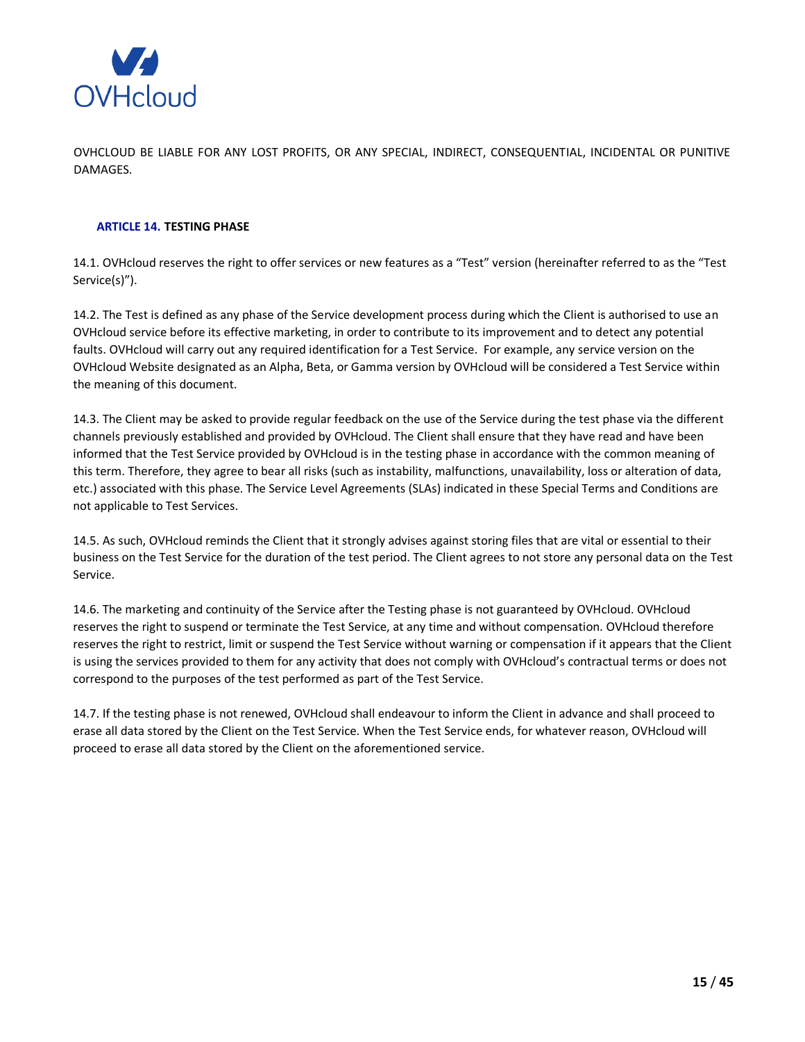

OVHCLOUD BE LIABLE FOR ANY LOST PROFITS, OR ANY SPECIAL, INDIRECT, CONSEQUENTIAL, INCIDENTAL OR PUNITIVE DAMAGES.

## <span id="page-14-0"></span>**ARTICLE 14. TESTING PHASE**

14.1. OVHcloud reserves the right to offer services or new features as a "Test" version (hereinafter referred to as the "Test Service(s)").

14.2. The Test is defined as any phase of the Service development process during which the Client is authorised to use an OVHcloud service before its effective marketing, in order to contribute to its improvement and to detect any potential faults. OVHcloud will carry out any required identification for a Test Service. For example, any service version on the OVHcloud Website designated as an Alpha, Beta, or Gamma version by OVHcloud will be considered a Test Service within the meaning of this document.

14.3. The Client may be asked to provide regular feedback on the use of the Service during the test phase via the different channels previously established and provided by OVHcloud. The Client shall ensure that they have read and have been informed that the Test Service provided by OVHcloud is in the testing phase in accordance with the common meaning of this term. Therefore, they agree to bear all risks (such as instability, malfunctions, unavailability, loss or alteration of data, etc.) associated with this phase. The Service Level Agreements (SLAs) indicated in these Special Terms and Conditions are not applicable to Test Services.

14.5. As such, OVHcloud reminds the Client that it strongly advises against storing files that are vital or essential to their business on the Test Service for the duration of the test period. The Client agrees to not store any personal data on the Test Service.

14.6. The marketing and continuity of the Service after the Testing phase is not guaranteed by OVHcloud. OVHcloud reserves the right to suspend or terminate the Test Service, at any time and without compensation. OVHcloud therefore reserves the right to restrict, limit or suspend the Test Service without warning or compensation if it appears that the Client is using the services provided to them for any activity that does not comply with OVHcloud's contractual terms or does not correspond to the purposes of the test performed as part of the Test Service.

14.7. If the testing phase is not renewed, OVHcloud shall endeavour to inform the Client in advance and shall proceed to erase all data stored by the Client on the Test Service. When the Test Service ends, for whatever reason, OVHcloud will proceed to erase all data stored by the Client on the aforementioned service.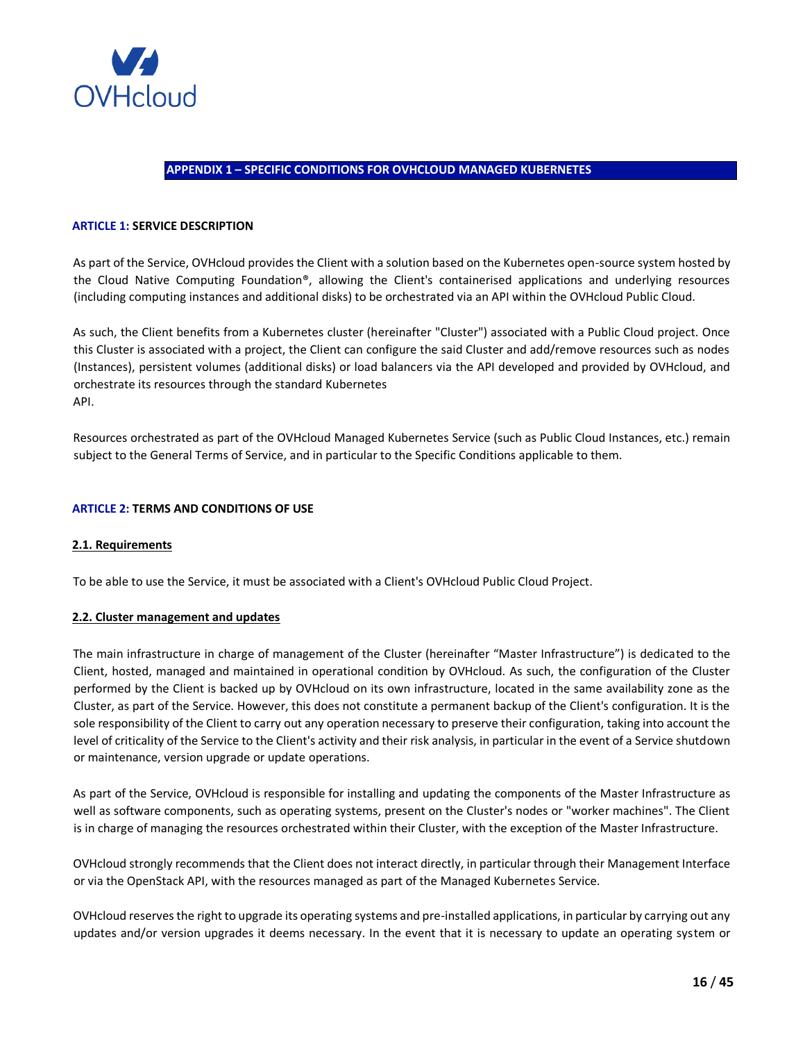

## **APPENDIX 1 – SPECIFIC CONDITIONS FOR OVHCLOUD MANAGED KUBERNETES**

### <span id="page-15-0"></span>**ARTICLE 1: SERVICE DESCRIPTION**

As part of the Service, OVHcloud provides the Client with a solution based on the Kubernetes open-source system hosted by the Cloud Native Computing Foundation®, allowing the Client's containerised applications and underlying resources (including computing instances and additional disks) to be orchestrated via an API within the OVHcloud Public Cloud.

As such, the Client benefits from a Kubernetes cluster (hereinafter "Cluster") associated with a Public Cloud project. Once this Cluster is associated with a project, the Client can configure the said Cluster and add/remove resources such as nodes (Instances), persistent volumes (additional disks) or load balancers via the API developed and provided by OVHcloud, and orchestrate its resources through the standard Kubernetes API.

Resources orchestrated as part of the OVHcloud Managed Kubernetes Service (such as Public Cloud Instances, etc.) remain subject to the General Terms of Service, and in particular to the Specific Conditions applicable to them.

#### **ARTICLE 2: TERMS AND CONDITIONS OF USE**

#### **2.1. Requirements**

To be able to use the Service, it must be associated with a Client's OVHcloud Public Cloud Project.

#### **2.2. Cluster management and updates**

The main infrastructure in charge of management of the Cluster (hereinafter "Master Infrastructure") is dedicated to the Client, hosted, managed and maintained in operational condition by OVHcloud. As such, the configuration of the Cluster performed by the Client is backed up by OVHcloud on its own infrastructure, located in the same availability zone as the Cluster, as part of the Service. However, this does not constitute a permanent backup of the Client's configuration. It is the sole responsibility of the Client to carry out any operation necessary to preserve their configuration, taking into account the level of criticality of the Service to the Client's activity and their risk analysis, in particular in the event of a Service shutdown or maintenance, version upgrade or update operations.

As part of the Service, OVHcloud is responsible for installing and updating the components of the Master Infrastructure as well as software components, such as operating systems, present on the Cluster's nodes or "worker machines". The Client is in charge of managing the resources orchestrated within their Cluster, with the exception of the Master Infrastructure.

OVHcloud strongly recommends that the Client does not interact directly, in particular through their Management Interface or via the OpenStack API, with the resources managed as part of the Managed Kubernetes Service.

OVHcloud reserves the right to upgrade its operating systems and pre-installed applications, in particular by carrying out any updates and/or version upgrades it deems necessary. In the event that it is necessary to update an operating system or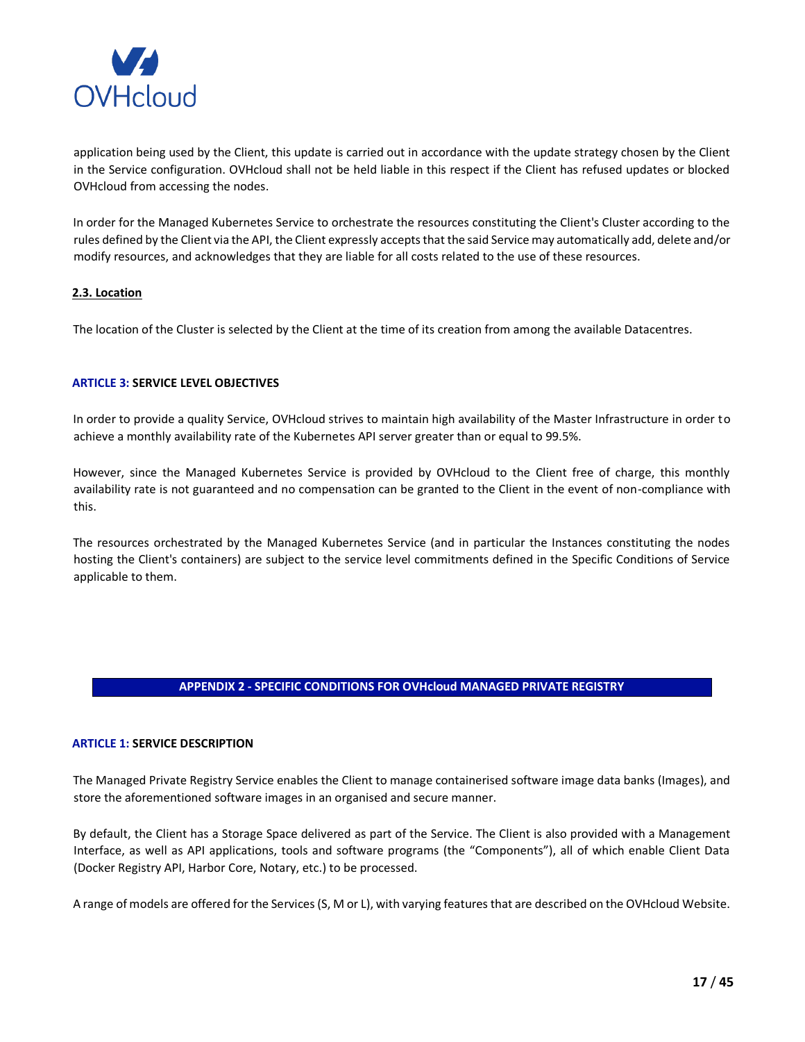

application being used by the Client, this update is carried out in accordance with the update strategy chosen by the Client in the Service configuration. OVHcloud shall not be held liable in this respect if the Client has refused updates or blocked OVHcloud from accessing the nodes.

In order for the Managed Kubernetes Service to orchestrate the resources constituting the Client's Cluster according to the rules defined by the Client via the API, the Client expressly accepts that the said Service may automatically add, delete and/or modify resources, and acknowledges that they are liable for all costs related to the use of these resources.

## **2.3. Location**

The location of the Cluster is selected by the Client at the time of its creation from among the available Datacentres.

## **ARTICLE 3: SERVICE LEVEL OBJECTIVES**

In order to provide a quality Service, OVHcloud strives to maintain high availability of the Master Infrastructure in order to achieve a monthly availability rate of the Kubernetes API server greater than or equal to 99.5%.

However, since the Managed Kubernetes Service is provided by OVHcloud to the Client free of charge, this monthly availability rate is not guaranteed and no compensation can be granted to the Client in the event of non-compliance with this.

The resources orchestrated by the Managed Kubernetes Service (and in particular the Instances constituting the nodes hosting the Client's containers) are subject to the service level commitments defined in the Specific Conditions of Service applicable to them.

## **APPENDIX 2 - SPECIFIC CONDITIONS FOR OVHcloud MANAGED PRIVATE REGISTRY**

## <span id="page-16-0"></span>**ARTICLE 1: SERVICE DESCRIPTION**

The Managed Private Registry Service enables the Client to manage containerised software image data banks (Images), and store the aforementioned software images in an organised and secure manner.

By default, the Client has a Storage Space delivered as part of the Service. The Client is also provided with a Management Interface, as well as API applications, tools and software programs (the "Components"), all of which enable Client Data (Docker Registry API, Harbor Core, Notary, etc.) to be processed.

A range of models are offered for the Services (S, M or L), with varying features that are described on the OVHcloud Website.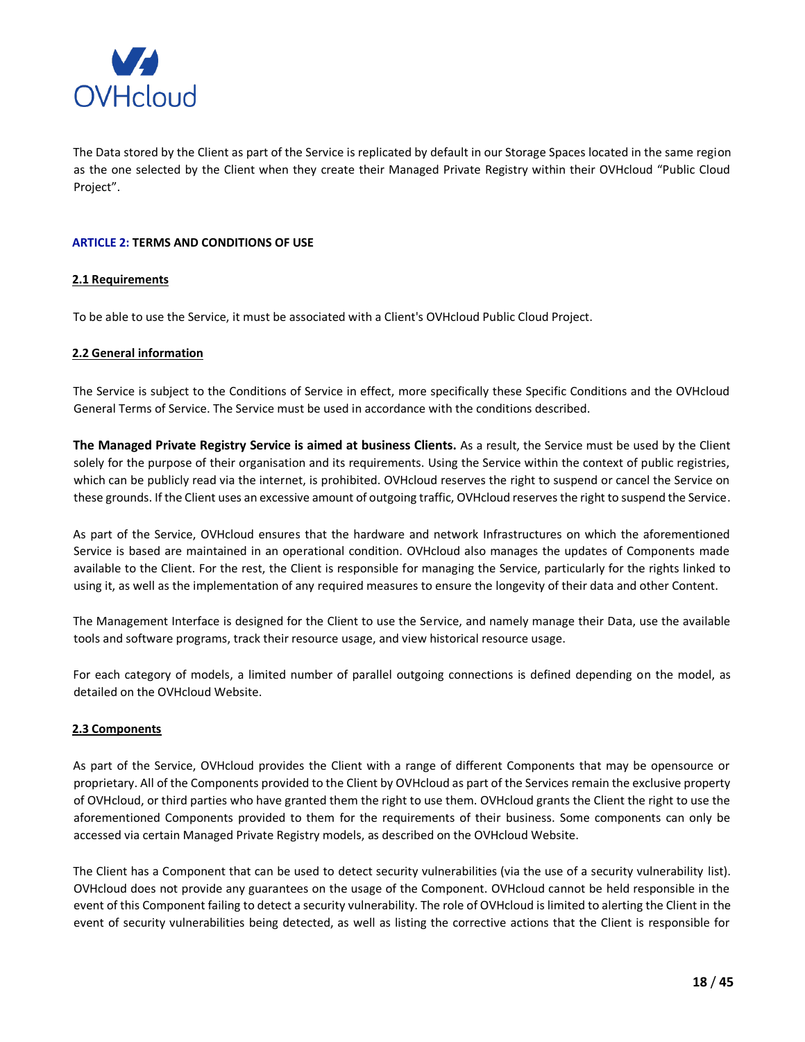

The Data stored by the Client as part of the Service is replicated by default in our Storage Spaces located in the same region as the one selected by the Client when they create their Managed Private Registry within their OVHcloud "Public Cloud Project".

## **ARTICLE 2: TERMS AND CONDITIONS OF USE**

# **2.1 Requirements**

To be able to use the Service, it must be associated with a Client's OVHcloud Public Cloud Project.

## **2.2 General information**

The Service is subject to the Conditions of Service in effect, more specifically these Specific Conditions and the OVHcloud General Terms of Service. The Service must be used in accordance with the conditions described.

**The Managed Private Registry Service is aimed at business Clients.** As a result, the Service must be used by the Client solely for the purpose of their organisation and its requirements. Using the Service within the context of public registries, which can be publicly read via the internet, is prohibited. OVHcloud reserves the right to suspend or cancel the Service on these grounds. If the Client uses an excessive amount of outgoing traffic, OVHcloud reserves the right to suspend the Service.

As part of the Service, OVHcloud ensures that the hardware and network Infrastructures on which the aforementioned Service is based are maintained in an operational condition. OVHcloud also manages the updates of Components made available to the Client. For the rest, the Client is responsible for managing the Service, particularly for the rights linked to using it, as well as the implementation of any required measures to ensure the longevity of their data and other Content.

The Management Interface is designed for the Client to use the Service, and namely manage their Data, use the available tools and software programs, track their resource usage, and view historical resource usage.

For each category of models, a limited number of parallel outgoing connections is defined depending on the model, as detailed on the OVHcloud Website.

## **2.3 Components**

As part of the Service, OVHcloud provides the Client with a range of different Components that may be opensource or proprietary. All of the Components provided to the Client by OVHcloud as part of the Services remain the exclusive property of OVHcloud, or third parties who have granted them the right to use them. OVHcloud grants the Client the right to use the aforementioned Components provided to them for the requirements of their business. Some components can only be accessed via certain Managed Private Registry models, as described on the OVHcloud Website.

The Client has a Component that can be used to detect security vulnerabilities (via the use of a security vulnerability list). OVHcloud does not provide any guarantees on the usage of the Component. OVHcloud cannot be held responsible in the event of this Component failing to detect a security vulnerability. The role of OVHcloud is limited to alerting the Client in the event of security vulnerabilities being detected, as well as listing the corrective actions that the Client is responsible for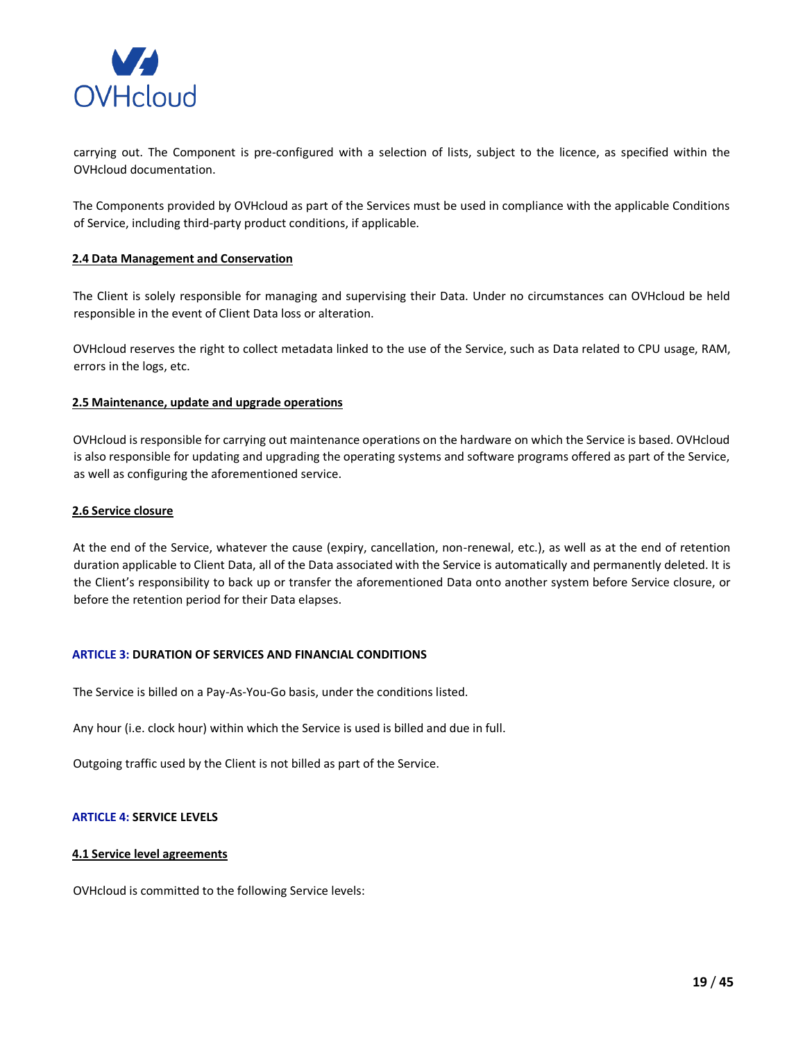

carrying out. The Component is pre-configured with a selection of lists, subject to the licence, as specified within the OVHcloud documentation.

The Components provided by OVHcloud as part of the Services must be used in compliance with the applicable Conditions of Service, including third-party product conditions, if applicable.

## **2.4 Data Management and Conservation**

The Client is solely responsible for managing and supervising their Data. Under no circumstances can OVHcloud be held responsible in the event of Client Data loss or alteration.

OVHcloud reserves the right to collect metadata linked to the use of the Service, such as Data related to CPU usage, RAM, errors in the logs, etc.

### **2.5 Maintenance, update and upgrade operations**

OVHcloud is responsible for carrying out maintenance operations on the hardware on which the Service is based. OVHcloud is also responsible for updating and upgrading the operating systems and software programs offered as part of the Service, as well as configuring the aforementioned service.

### **2.6 Service closure**

At the end of the Service, whatever the cause (expiry, cancellation, non-renewal, etc.), as well as at the end of retention duration applicable to Client Data, all of the Data associated with the Service is automatically and permanently deleted. It is the Client's responsibility to back up or transfer the aforementioned Data onto another system before Service closure, or before the retention period for their Data elapses.

# **ARTICLE 3: DURATION OF SERVICES AND FINANCIAL CONDITIONS**

The Service is billed on a Pay-As-You-Go basis, under the conditions listed.

Any hour (i.e. clock hour) within which the Service is used is billed and due in full.

Outgoing traffic used by the Client is not billed as part of the Service.

## **ARTICLE 4: SERVICE LEVELS**

#### **4.1 Service level agreements**

OVHcloud is committed to the following Service levels: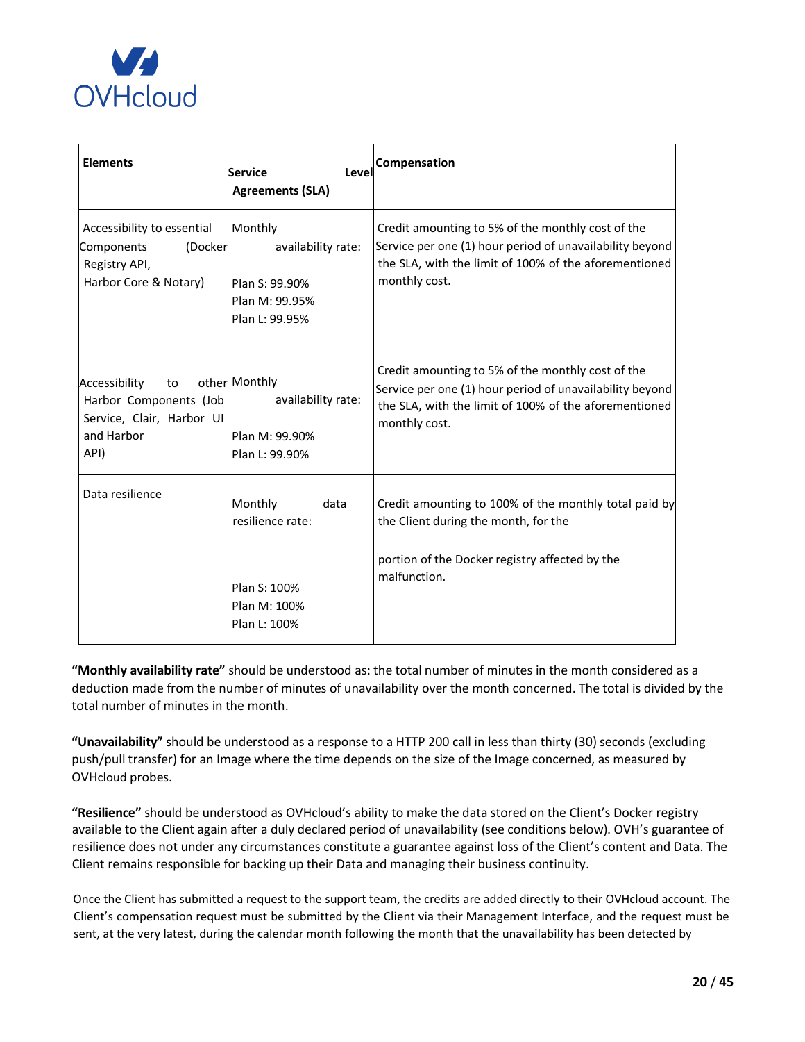

| <b>Elements</b>                                                                                  | <b>Service</b><br>Level<br><b>Agreements (SLA)</b>                                  | Compensation                                                                                                                                                                            |
|--------------------------------------------------------------------------------------------------|-------------------------------------------------------------------------------------|-----------------------------------------------------------------------------------------------------------------------------------------------------------------------------------------|
| Accessibility to essential<br>(Docker<br>Components<br>Registry API,<br>Harbor Core & Notary)    | Monthly<br>availability rate:<br>Plan S: 99.90%<br>Plan M: 99.95%<br>Plan L: 99.95% | Credit amounting to 5% of the monthly cost of the<br>Service per one (1) hour period of unavailability beyond<br>the SLA, with the limit of 100% of the aforementioned<br>monthly cost. |
| Accessibility<br>to<br>Harbor Components (Job<br>Service, Clair, Harbor UI<br>and Harbor<br>API) | other Monthly<br>availability rate:<br>Plan M: 99.90%<br>Plan L: 99.90%             | Credit amounting to 5% of the monthly cost of the<br>Service per one (1) hour period of unavailability beyond<br>the SLA, with the limit of 100% of the aforementioned<br>monthly cost. |
| Data resilience                                                                                  | Monthly<br>data<br>resilience rate:                                                 | Credit amounting to 100% of the monthly total paid by<br>the Client during the month, for the                                                                                           |
|                                                                                                  | Plan S: 100%<br>Plan M: 100%<br>Plan L: 100%                                        | portion of the Docker registry affected by the<br>malfunction.                                                                                                                          |

**"Monthly availability rate"** should be understood as: the total number of minutes in the month considered as a deduction made from the number of minutes of unavailability over the month concerned. The total is divided by the total number of minutes in the month.

**"Unavailability"** should be understood as a response to a HTTP 200 call in less than thirty (30) seconds (excluding push/pull transfer) for an Image where the time depends on the size of the Image concerned, as measured by OVHcloud probes.

**"Resilience"** should be understood as OVHcloud's ability to make the data stored on the Client's Docker registry available to the Client again after a duly declared period of unavailability (see conditions below). OVH's guarantee of resilience does not under any circumstances constitute a guarantee against loss of the Client's content and Data. The Client remains responsible for backing up their Data and managing their business continuity.

Once the Client has submitted a request to the support team, the credits are added directly to their OVHcloud account. The Client's compensation request must be submitted by the Client via their Management Interface, and the request must be sent, at the very latest, during the calendar month following the month that the unavailability has been detected by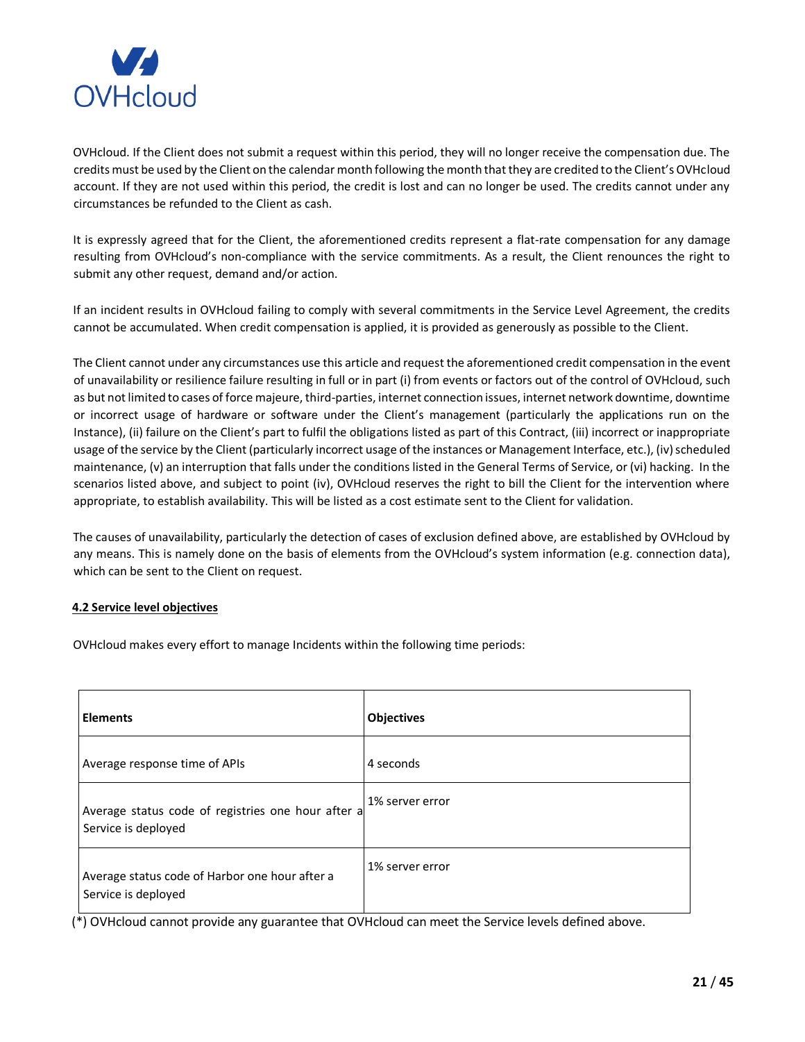

OVHcloud. If the Client does not submit a request within this period, they will no longer receive the compensation due. The credits must be used by the Client on the calendar month following the month that they are credited to the Client's OVHcloud account. If they are not used within this period, the credit is lost and can no longer be used. The credits cannot under any circumstances be refunded to the Client as cash.

It is expressly agreed that for the Client, the aforementioned credits represent a flat-rate compensation for any damage resulting from OVHcloud's non-compliance with the service commitments. As a result, the Client renounces the right to submit any other request, demand and/or action.

If an incident results in OVHcloud failing to comply with several commitments in the Service Level Agreement, the credits cannot be accumulated. When credit compensation is applied, it is provided as generously as possible to the Client.

The Client cannot under any circumstances use this article and request the aforementioned credit compensation in the event of unavailability or resilience failure resulting in full or in part (i) from events or factors out of the control of OVHcloud, such as but not limited to cases of force majeure, third-parties, internet connection issues, internet network downtime, downtime or incorrect usage of hardware or software under the Client's management (particularly the applications run on the Instance), (ii) failure on the Client's part to fulfil the obligations listed as part of this Contract, (iii) incorrect or inappropriate usage of the service by the Client (particularly incorrect usage of the instances or Management Interface, etc.), (iv) scheduled maintenance, (v) an interruption that falls under the conditions listed in the General Terms of Service, or (vi) hacking. In the scenarios listed above, and subject to point (iv), OVHcloud reserves the right to bill the Client for the intervention where appropriate, to establish availability. This will be listed as a cost estimate sent to the Client for validation.

The causes of unavailability, particularly the detection of cases of exclusion defined above, are established by OVHcloud by any means. This is namely done on the basis of elements from the OVHcloud's system information (e.g. connection data), which can be sent to the Client on request.

## **4.2 Service level objectives**

OVHcloud makes every effort to manage Incidents within the following time periods:

| <b>Elements</b>                                                           | <b>Objectives</b> |
|---------------------------------------------------------------------------|-------------------|
| Average response time of APIs                                             | 4 seconds         |
| Average status code of registries one hour after a<br>Service is deployed | 1% server error   |
| Average status code of Harbor one hour after a<br>Service is deployed     | 1% server error   |

(\*) OVHcloud cannot provide any guarantee that OVHcloud can meet the Service levels defined above.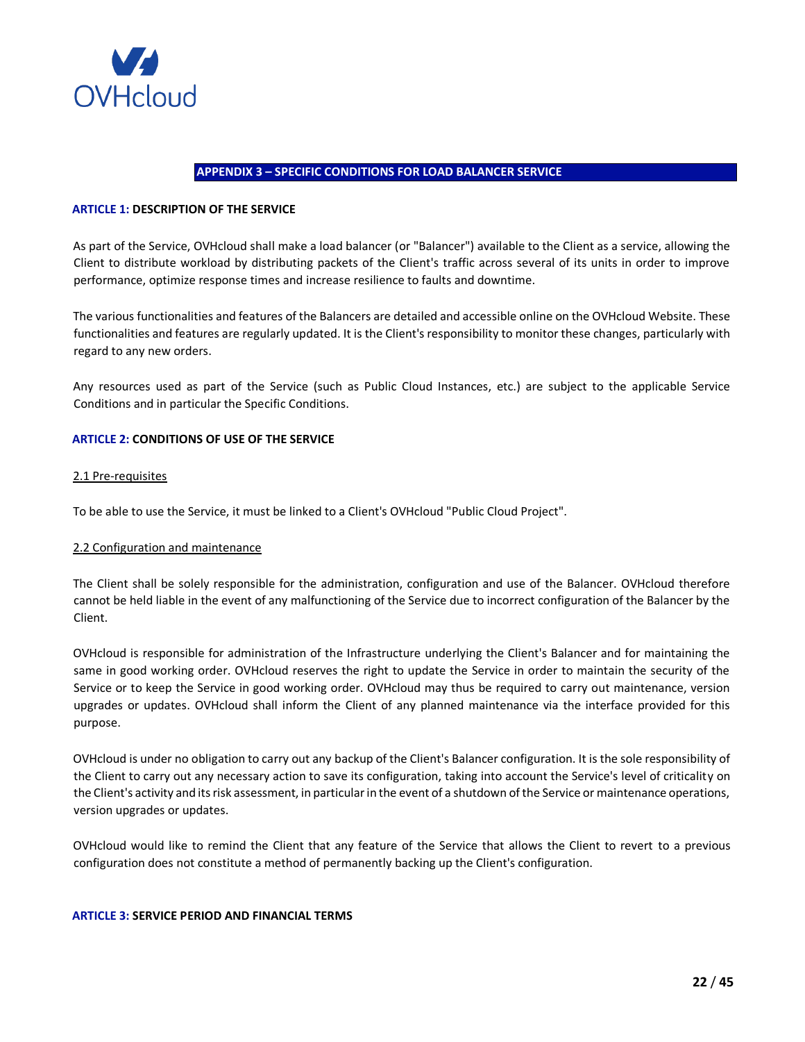

### **APPENDIX 3 – SPECIFIC CONDITIONS FOR LOAD BALANCER SERVICE**

### <span id="page-21-0"></span>**ARTICLE 1: DESCRIPTION OF THE SERVICE**

As part of the Service, OVHcloud shall make a load balancer (or "Balancer") available to the Client as a service, allowing the Client to distribute workload by distributing packets of the Client's traffic across several of its units in order to improve performance, optimize response times and increase resilience to faults and downtime.

The various functionalities and features of the Balancers are detailed and accessible online on the OVHcloud Website. These functionalities and features are regularly updated. It is the Client's responsibility to monitor these changes, particularly with regard to any new orders.

Any resources used as part of the Service (such as Public Cloud Instances, etc.) are subject to the applicable Service Conditions and in particular the Specific Conditions.

### **ARTICLE 2: CONDITIONS OF USE OF THE SERVICE**

#### 2.1 Pre-requisites

To be able to use the Service, it must be linked to a Client's OVHcloud "Public Cloud Project".

#### 2.2 Configuration and maintenance

The Client shall be solely responsible for the administration, configuration and use of the Balancer. OVHcloud therefore cannot be held liable in the event of any malfunctioning of the Service due to incorrect configuration of the Balancer by the Client.

OVHcloud is responsible for administration of the Infrastructure underlying the Client's Balancer and for maintaining the same in good working order. OVHcloud reserves the right to update the Service in order to maintain the security of the Service or to keep the Service in good working order. OVHcloud may thus be required to carry out maintenance, version upgrades or updates. OVHcloud shall inform the Client of any planned maintenance via the interface provided for this purpose.

OVHcloud is under no obligation to carry out any backup of the Client's Balancer configuration. It is the sole responsibility of the Client to carry out any necessary action to save its configuration, taking into account the Service's level of criticality on the Client's activity and its risk assessment, in particular in the event of a shutdown of the Service or maintenance operations, version upgrades or updates.

OVHcloud would like to remind the Client that any feature of the Service that allows the Client to revert to a previous configuration does not constitute a method of permanently backing up the Client's configuration.

#### **ARTICLE 3: SERVICE PERIOD AND FINANCIAL TERMS**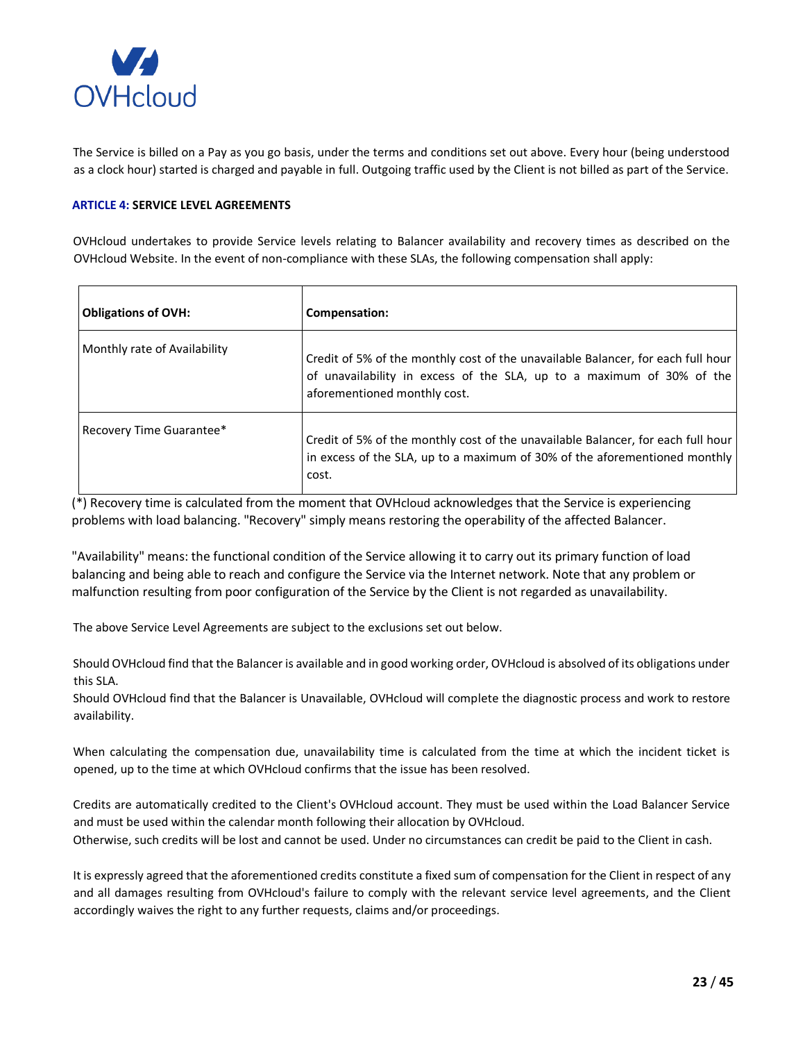

The Service is billed on a Pay as you go basis, under the terms and conditions set out above. Every hour (being understood as a clock hour) started is charged and payable in full. Outgoing traffic used by the Client is not billed as part of the Service.

## **ARTICLE 4: SERVICE LEVEL AGREEMENTS**

OVHcloud undertakes to provide Service levels relating to Balancer availability and recovery times as described on the OVHcloud Website. In the event of non-compliance with these SLAs, the following compensation shall apply:

| <b>Obligations of OVH:</b>   | Compensation:                                                                                                                                                                             |
|------------------------------|-------------------------------------------------------------------------------------------------------------------------------------------------------------------------------------------|
| Monthly rate of Availability | Credit of 5% of the monthly cost of the unavailable Balancer, for each full hour<br>of unavailability in excess of the SLA, up to a maximum of 30% of the<br>aforementioned monthly cost. |
| Recovery Time Guarantee*     | Credit of 5% of the monthly cost of the unavailable Balancer, for each full hour<br>in excess of the SLA, up to a maximum of 30% of the aforementioned monthly<br>cost.                   |

(\*) Recovery time is calculated from the moment that OVHcloud acknowledges that the Service is experiencing problems with load balancing. "Recovery" simply means restoring the operability of the affected Balancer.

"Availability" means: the functional condition of the Service allowing it to carry out its primary function of load balancing and being able to reach and configure the Service via the Internet network. Note that any problem or malfunction resulting from poor configuration of the Service by the Client is not regarded as unavailability.

The above Service Level Agreements are subject to the exclusions set out below.

Should OVHcloud find that the Balancer is available and in good working order, OVHcloud is absolved of its obligations under this SLA.

Should OVHcloud find that the Balancer is Unavailable, OVHcloud will complete the diagnostic process and work to restore availability.

When calculating the compensation due, unavailability time is calculated from the time at which the incident ticket is opened, up to the time at which OVHcloud confirms that the issue has been resolved.

Credits are automatically credited to the Client's OVHcloud account. They must be used within the Load Balancer Service and must be used within the calendar month following their allocation by OVHcloud. Otherwise, such credits will be lost and cannot be used. Under no circumstances can credit be paid to the Client in cash.

It is expressly agreed that the aforementioned credits constitute a fixed sum of compensation for the Client in respect of any and all damages resulting from OVHcloud's failure to comply with the relevant service level agreements, and the Client accordingly waives the right to any further requests, claims and/or proceedings.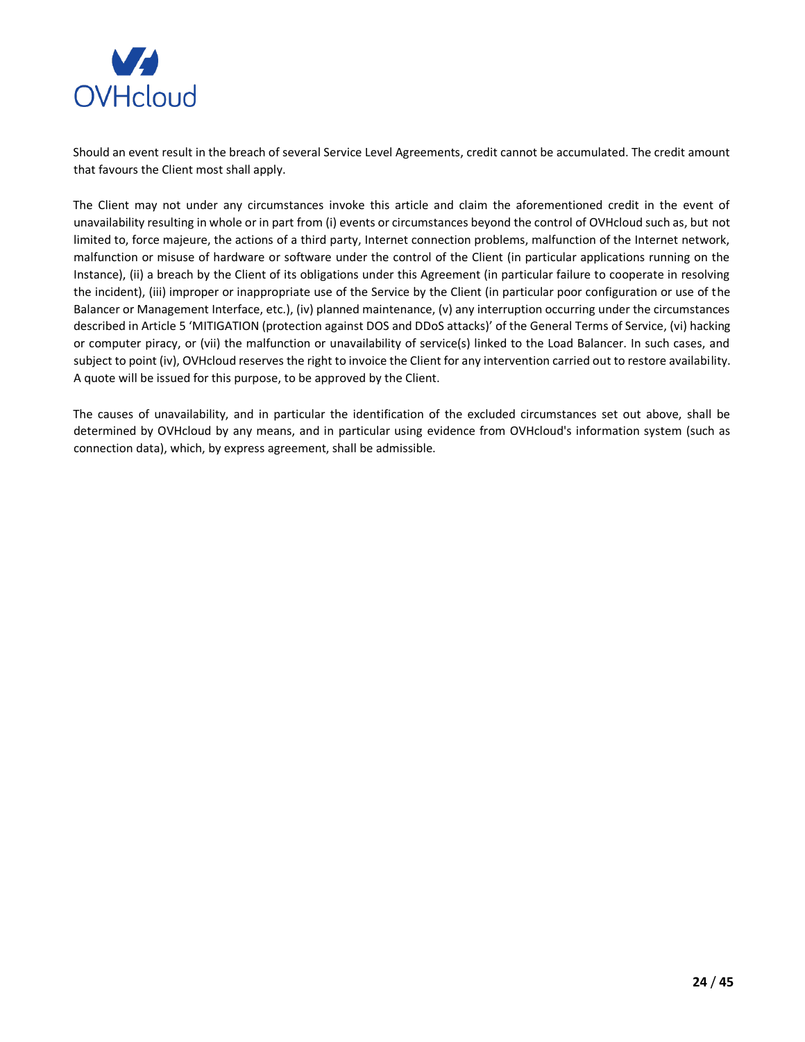

Should an event result in the breach of several Service Level Agreements, credit cannot be accumulated. The credit amount that favours the Client most shall apply.

The Client may not under any circumstances invoke this article and claim the aforementioned credit in the event of unavailability resulting in whole or in part from (i) events or circumstances beyond the control of OVHcloud such as, but not limited to, force majeure, the actions of a third party, Internet connection problems, malfunction of the Internet network, malfunction or misuse of hardware or software under the control of the Client (in particular applications running on the Instance), (ii) a breach by the Client of its obligations under this Agreement (in particular failure to cooperate in resolving the incident), (iii) improper or inappropriate use of the Service by the Client (in particular poor configuration or use of the Balancer or Management Interface, etc.), (iv) planned maintenance, (v) any interruption occurring under the circumstances described in Article 5 'MITIGATION (protection against DOS and DDoS attacks)' of the General Terms of Service, (vi) hacking or computer piracy, or (vii) the malfunction or unavailability of service(s) linked to the Load Balancer. In such cases, and subject to point (iv), OVHcloud reserves the right to invoice the Client for any intervention carried out to restore availability. A quote will be issued for this purpose, to be approved by the Client.

The causes of unavailability, and in particular the identification of the excluded circumstances set out above, shall be determined by OVHcloud by any means, and in particular using evidence from OVHcloud's information system (such as connection data), which, by express agreement, shall be admissible.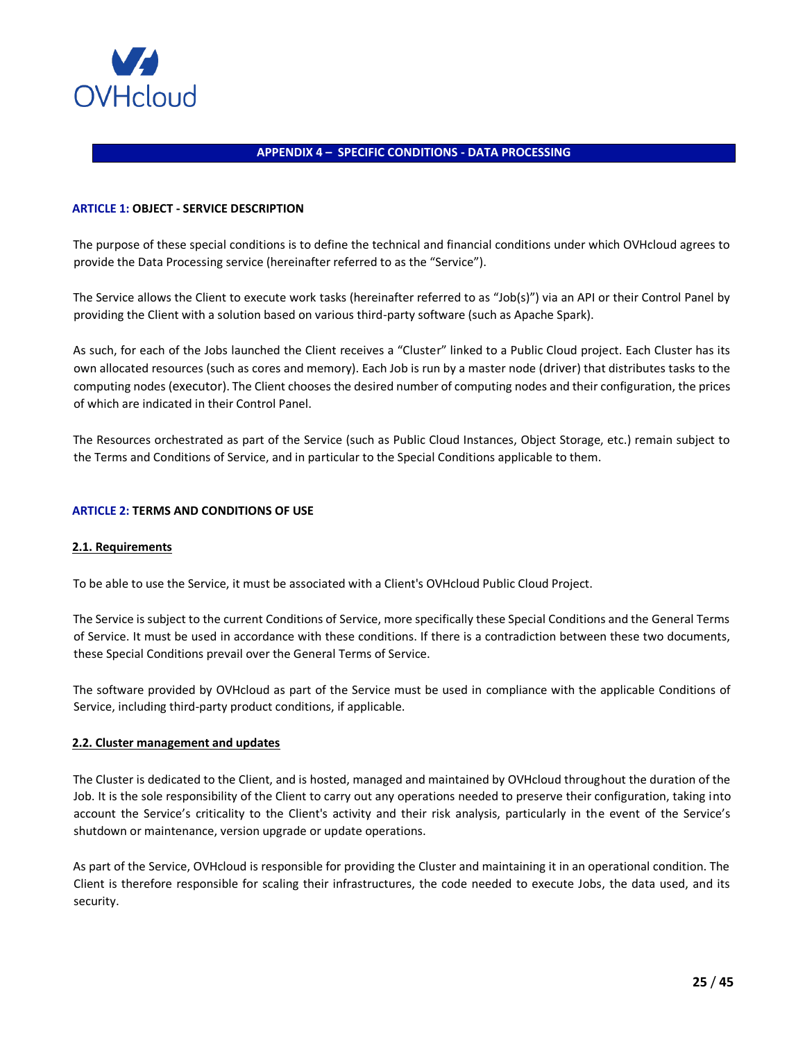

### **APPENDIX 4 – SPECIFIC CONDITIONS - DATA PROCESSING**

### <span id="page-24-0"></span>**ARTICLE 1: OBJECT - SERVICE DESCRIPTION**

The purpose of these special conditions is to define the technical and financial conditions under which OVHcloud agrees to provide the Data Processing service (hereinafter referred to as the "Service").

The Service allows the Client to execute work tasks (hereinafter referred to as "Job(s)") via an API or their Control Panel by providing the Client with a solution based on various third-party software (such as Apache Spark).

As such, for each of the Jobs launched the Client receives a "Cluster" linked to a Public Cloud project. Each Cluster has its own allocated resources (such as cores and memory). Each Job is run by a master node (driver) that distributes tasks to the computing nodes (executor). The Client chooses the desired number of computing nodes and their configuration, the prices of which are indicated in their Control Panel.

The Resources orchestrated as part of the Service (such as Public Cloud Instances, Object Storage, etc.) remain subject to the Terms and Conditions of Service, and in particular to the Special Conditions applicable to them.

### **ARTICLE 2: TERMS AND CONDITIONS OF USE**

#### **2.1. Requirements**

To be able to use the Service, it must be associated with a Client's OVHcloud Public Cloud Project.

The Service is subject to the current Conditions of Service, more specifically these Special Conditions and the General Terms of Service. It must be used in accordance with these conditions. If there is a contradiction between these two documents, these Special Conditions prevail over the General Terms of Service.

The software provided by OVHcloud as part of the Service must be used in compliance with the applicable Conditions of Service, including third-party product conditions, if applicable.

#### **2.2. Cluster management and updates**

The Cluster is dedicated to the Client, and is hosted, managed and maintained by OVHcloud throughout the duration of the Job. It is the sole responsibility of the Client to carry out any operations needed to preserve their configuration, taking into account the Service's criticality to the Client's activity and their risk analysis, particularly in the event of the Service's shutdown or maintenance, version upgrade or update operations.

As part of the Service, OVHcloud is responsible for providing the Cluster and maintaining it in an operational condition. The Client is therefore responsible for scaling their infrastructures, the code needed to execute Jobs, the data used, and its security.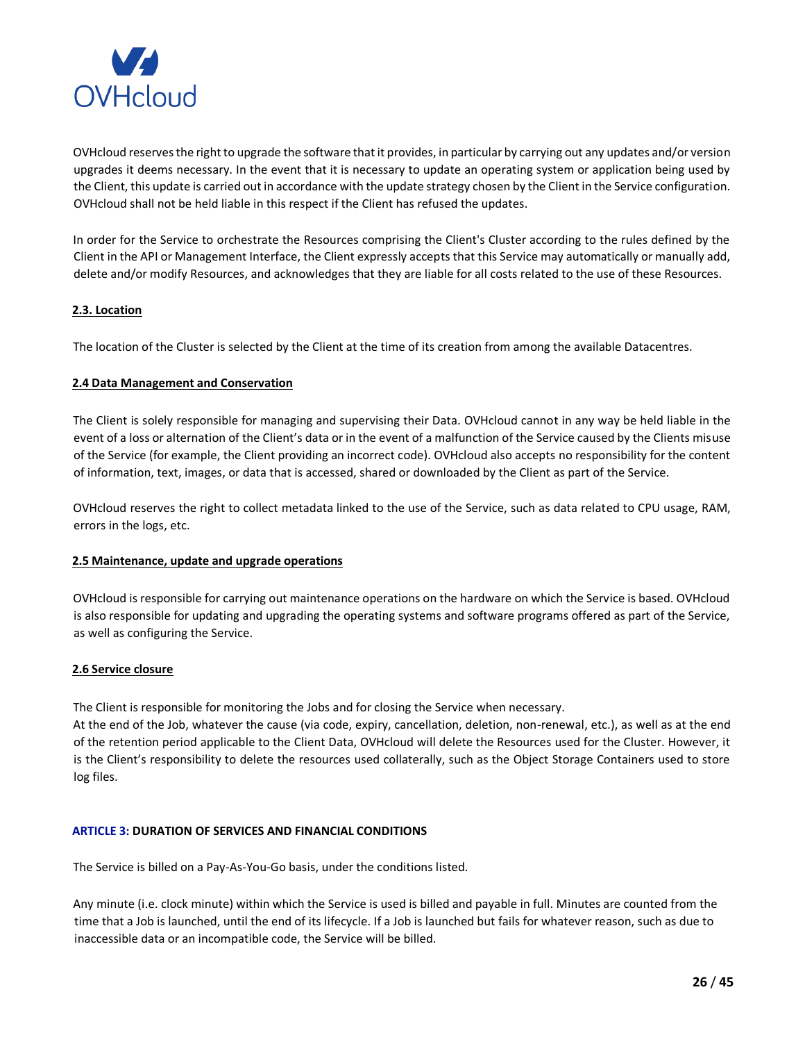

OVHcloud reserves the right to upgrade the software that it provides, in particular by carrying out any updates and/or version upgrades it deems necessary. In the event that it is necessary to update an operating system or application being used by the Client, this update is carried out in accordance with the update strategy chosen by the Client in the Service configuration. OVHcloud shall not be held liable in this respect if the Client has refused the updates.

In order for the Service to orchestrate the Resources comprising the Client's Cluster according to the rules defined by the Client in the API or Management Interface, the Client expressly accepts that this Service may automatically or manually add, delete and/or modify Resources, and acknowledges that they are liable for all costs related to the use of these Resources.

# **2.3. Location**

The location of the Cluster is selected by the Client at the time of its creation from among the available Datacentres.

## **2.4 Data Management and Conservation**

The Client is solely responsible for managing and supervising their Data. OVHcloud cannot in any way be held liable in the event of a loss or alternation of the Client's data or in the event of a malfunction of the Service caused by the Clients misuse of the Service (for example, the Client providing an incorrect code). OVHcloud also accepts no responsibility for the content of information, text, images, or data that is accessed, shared or downloaded by the Client as part of the Service.

OVHcloud reserves the right to collect metadata linked to the use of the Service, such as data related to CPU usage, RAM, errors in the logs, etc.

## **2.5 Maintenance, update and upgrade operations**

OVHcloud is responsible for carrying out maintenance operations on the hardware on which the Service is based. OVHcloud is also responsible for updating and upgrading the operating systems and software programs offered as part of the Service, as well as configuring the Service.

## **2.6 Service closure**

The Client is responsible for monitoring the Jobs and for closing the Service when necessary.

At the end of the Job, whatever the cause (via code, expiry, cancellation, deletion, non-renewal, etc.), as well as at the end of the retention period applicable to the Client Data, OVHcloud will delete the Resources used for the Cluster. However, it is the Client's responsibility to delete the resources used collaterally, such as the Object Storage Containers used to store log files.

## **ARTICLE 3: DURATION OF SERVICES AND FINANCIAL CONDITIONS**

The Service is billed on a Pay-As-You-Go basis, under the conditions listed.

Any minute (i.e. clock minute) within which the Service is used is billed and payable in full. Minutes are counted from the time that a Job is launched, until the end of its lifecycle. If a Job is launched but fails for whatever reason, such as due to inaccessible data or an incompatible code, the Service will be billed.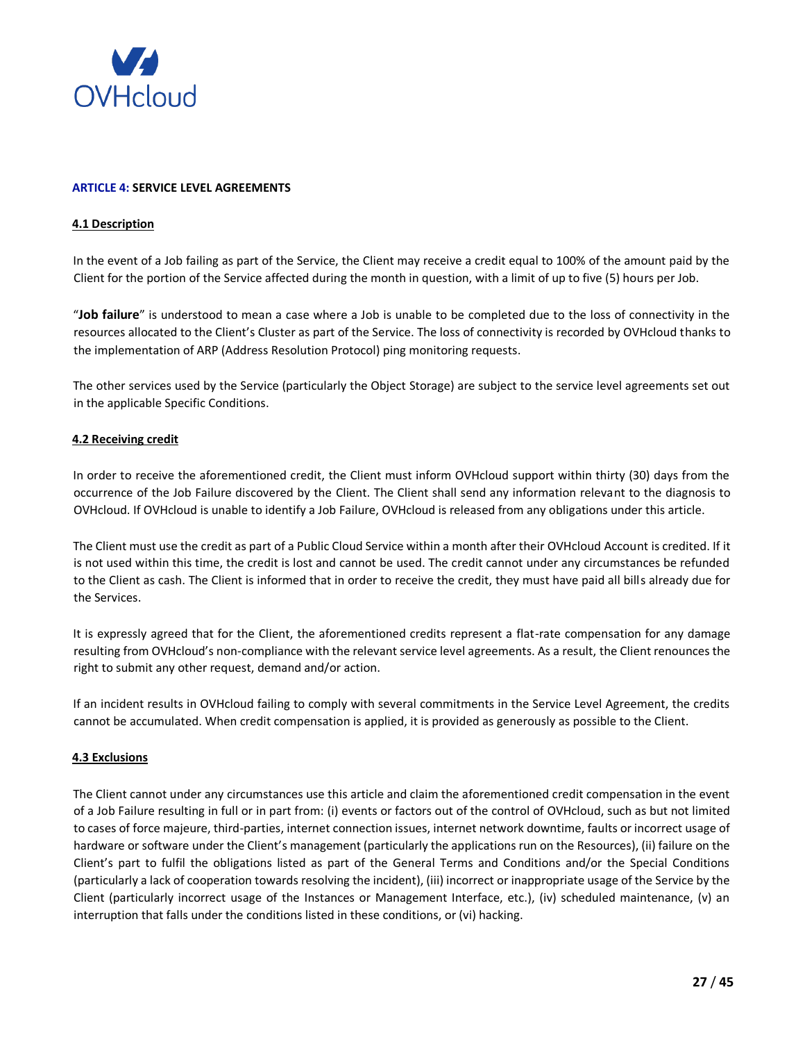

## **ARTICLE 4: SERVICE LEVEL AGREEMENTS**

### **4.1 Description**

In the event of a Job failing as part of the Service, the Client may receive a credit equal to 100% of the amount paid by the Client for the portion of the Service affected during the month in question, with a limit of up to five (5) hours per Job.

"**Job failure**" is understood to mean a case where a Job is unable to be completed due to the loss of connectivity in the resources allocated to the Client's Cluster as part of the Service. The loss of connectivity is recorded by OVHcloud thanks to the implementation of ARP (Address Resolution Protocol) ping monitoring requests.

The other services used by the Service (particularly the Object Storage) are subject to the service level agreements set out in the applicable Specific Conditions.

### **4.2 Receiving credit**

In order to receive the aforementioned credit, the Client must inform OVHcloud support within thirty (30) days from the occurrence of the Job Failure discovered by the Client. The Client shall send any information relevant to the diagnosis to OVHcloud. If OVHcloud is unable to identify a Job Failure, OVHcloud is released from any obligations under this article.

The Client must use the credit as part of a Public Cloud Service within a month after their OVHcloud Account is credited. If it is not used within this time, the credit is lost and cannot be used. The credit cannot under any circumstances be refunded to the Client as cash. The Client is informed that in order to receive the credit, they must have paid all bills already due for the Services.

It is expressly agreed that for the Client, the aforementioned credits represent a flat-rate compensation for any damage resulting from OVHcloud's non-compliance with the relevant service level agreements. As a result, the Client renounces the right to submit any other request, demand and/or action.

If an incident results in OVHcloud failing to comply with several commitments in the Service Level Agreement, the credits cannot be accumulated. When credit compensation is applied, it is provided as generously as possible to the Client.

## **4.3 Exclusions**

The Client cannot under any circumstances use this article and claim the aforementioned credit compensation in the event of a Job Failure resulting in full or in part from: (i) events or factors out of the control of OVHcloud, such as but not limited to cases of force majeure, third-parties, internet connection issues, internet network downtime, faults or incorrect usage of hardware or software under the Client's management (particularly the applications run on the Resources), (ii) failure on the Client's part to fulfil the obligations listed as part of the General Terms and Conditions and/or the Special Conditions (particularly a lack of cooperation towards resolving the incident), (iii) incorrect or inappropriate usage of the Service by the Client (particularly incorrect usage of the Instances or Management Interface, etc.), (iv) scheduled maintenance, (v) an interruption that falls under the conditions listed in these conditions, or (vi) hacking.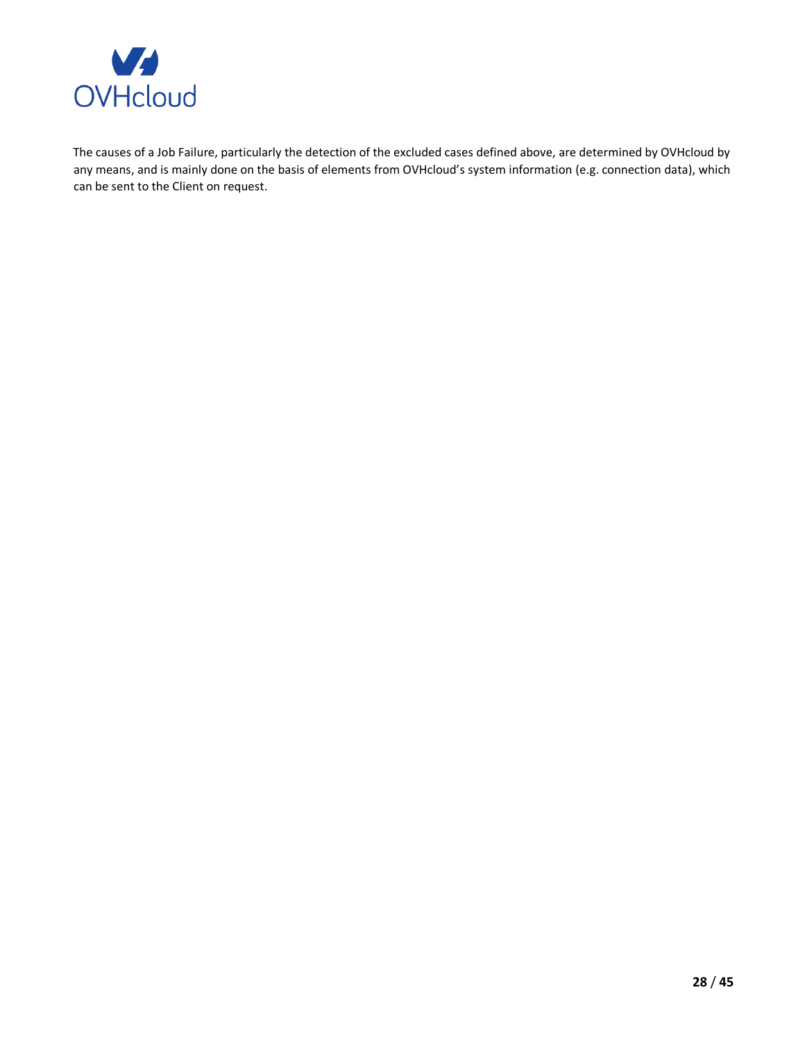

The causes of a Job Failure, particularly the detection of the excluded cases defined above, are determined by OVHcloud by any means, and is mainly done on the basis of elements from OVHcloud's system information (e.g. connection data), which can be sent to the Client on request.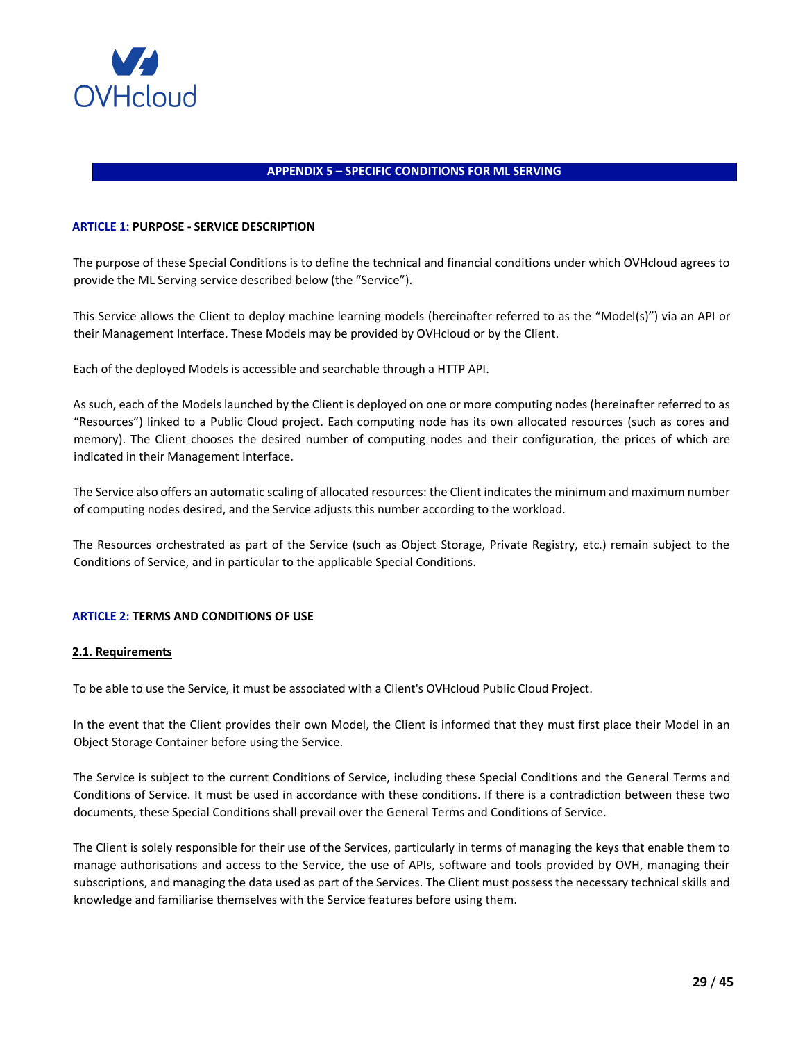

### **APPENDIX 5 – SPECIFIC CONDITIONS FOR ML SERVING**

#### <span id="page-28-0"></span>**ARTICLE 1: PURPOSE - SERVICE DESCRIPTION**

The purpose of these Special Conditions is to define the technical and financial conditions under which OVHcloud agrees to provide the ML Serving service described below (the "Service").

This Service allows the Client to deploy machine learning models (hereinafter referred to as the "Model(s)") via an API or their Management Interface. These Models may be provided by OVHcloud or by the Client.

Each of the deployed Models is accessible and searchable through a HTTP API.

As such, each of the Models launched by the Client is deployed on one or more computing nodes (hereinafter referred to as "Resources") linked to a Public Cloud project. Each computing node has its own allocated resources (such as cores and memory). The Client chooses the desired number of computing nodes and their configuration, the prices of which are indicated in their Management Interface.

The Service also offers an automatic scaling of allocated resources: the Client indicates the minimum and maximum number of computing nodes desired, and the Service adjusts this number according to the workload.

The Resources orchestrated as part of the Service (such as Object Storage, Private Registry, etc.) remain subject to the Conditions of Service, and in particular to the applicable Special Conditions.

# **ARTICLE 2: TERMS AND CONDITIONS OF USE**

#### **2.1. Requirements**

To be able to use the Service, it must be associated with a Client's OVHcloud Public Cloud Project.

In the event that the Client provides their own Model, the Client is informed that they must first place their Model in an Object Storage Container before using the Service.

The Service is subject to the current Conditions of Service, including these Special Conditions and the General Terms and Conditions of Service. It must be used in accordance with these conditions. If there is a contradiction between these two documents, these Special Conditions shall prevail over the General Terms and Conditions of Service.

The Client is solely responsible for their use of the Services, particularly in terms of managing the keys that enable them to manage authorisations and access to the Service, the use of APIs, software and tools provided by OVH, managing their subscriptions, and managing the data used as part of the Services. The Client must possess the necessary technical skills and knowledge and familiarise themselves with the Service features before using them.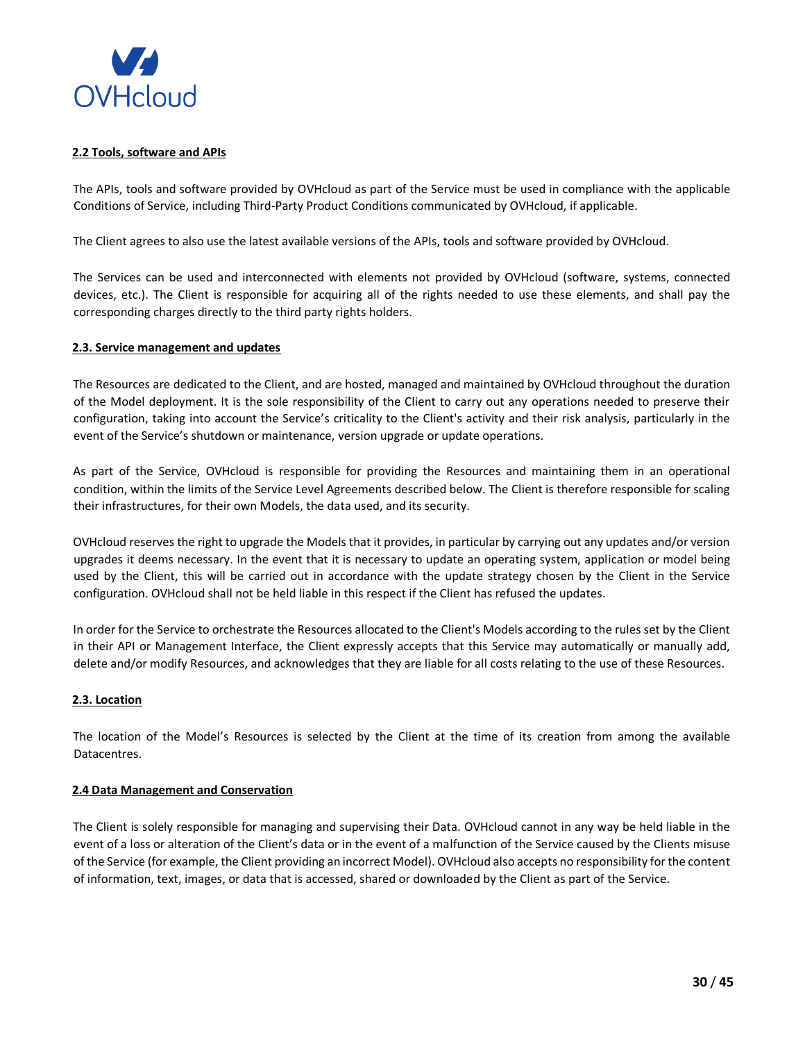

## **2.2 Tools, software and APIs**

The APIs, tools and software provided by OVHcloud as part of the Service must be used in compliance with the applicable Conditions of Service, including Third-Party Product Conditions communicated by OVHcloud, if applicable.

The Client agrees to also use the latest available versions of the APIs, tools and software provided by OVHcloud.

The Services can be used and interconnected with elements not provided by OVHcloud (software, systems, connected devices, etc.). The Client is responsible for acquiring all of the rights needed to use these elements, and shall pay the corresponding charges directly to the third party rights holders.

## **2.3. Service management and updates**

The Resources are dedicated to the Client, and are hosted, managed and maintained by OVHcloud throughout the duration of the Model deployment. It is the sole responsibility of the Client to carry out any operations needed to preserve their configuration, taking into account the Service's criticality to the Client's activity and their risk analysis, particularly in the event of the Service's shutdown or maintenance, version upgrade or update operations.

As part of the Service, OVHcloud is responsible for providing the Resources and maintaining them in an operational condition, within the limits of the Service Level Agreements described below. The Client is therefore responsible for scaling their infrastructures, for their own Models, the data used, and its security.

OVHcloud reserves the right to upgrade the Models that it provides, in particular by carrying out any updates and/or version upgrades it deems necessary. In the event that it is necessary to update an operating system, application or model being used by the Client, this will be carried out in accordance with the update strategy chosen by the Client in the Service configuration. OVHcloud shall not be held liable in this respect if the Client has refused the updates.

In order for the Service to orchestrate the Resources allocated to the Client's Models according to the rules set by the Client in their API or Management Interface, the Client expressly accepts that this Service may automatically or manually add, delete and/or modify Resources, and acknowledges that they are liable for all costs relating to the use of these Resources.

# **2.3. Location**

The location of the Model's Resources is selected by the Client at the time of its creation from among the available Datacentres.

## **2.4 Data Management and Conservation**

The Client is solely responsible for managing and supervising their Data. OVHcloud cannot in any way be held liable in the event of a loss or alteration of the Client's data or in the event of a malfunction of the Service caused by the Clients misuse of the Service (for example, the Client providing an incorrect Model). OVHcloud also accepts no responsibility for the content of information, text, images, or data that is accessed, shared or downloaded by the Client as part of the Service.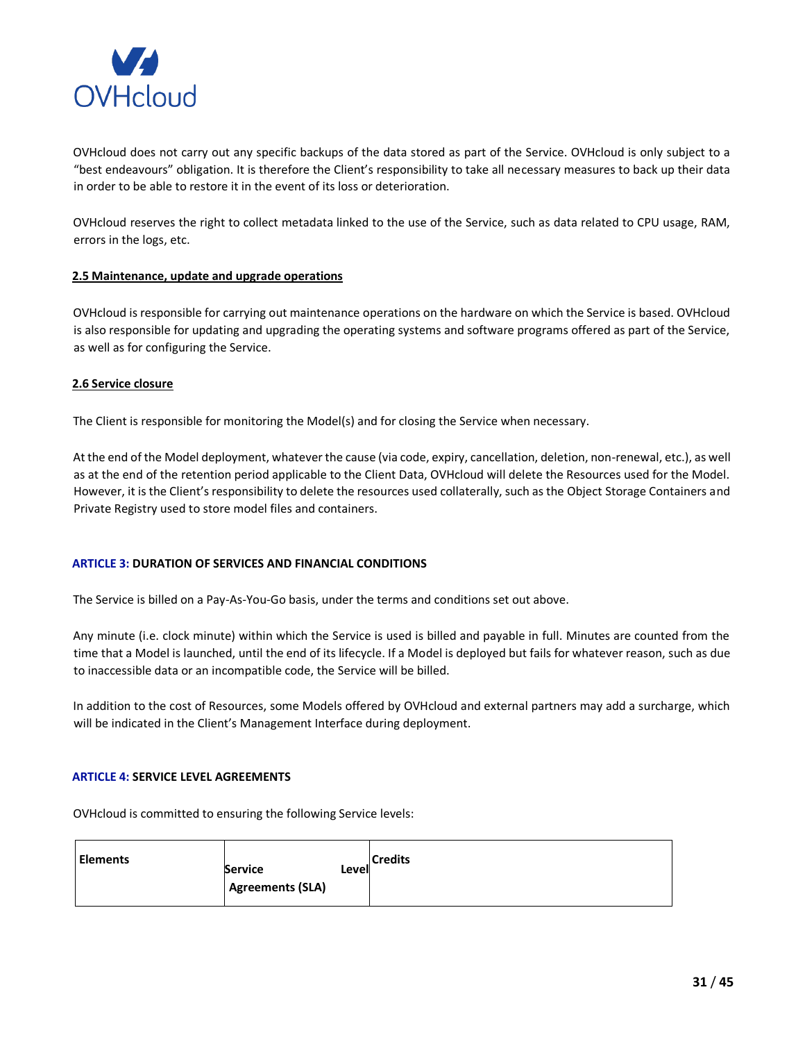

OVHcloud does not carry out any specific backups of the data stored as part of the Service. OVHcloud is only subject to a "best endeavours" obligation. It is therefore the Client's responsibility to take all necessary measures to back up their data in order to be able to restore it in the event of its loss or deterioration.

OVHcloud reserves the right to collect metadata linked to the use of the Service, such as data related to CPU usage, RAM, errors in the logs, etc.

### **2.5 Maintenance, update and upgrade operations**

OVHcloud is responsible for carrying out maintenance operations on the hardware on which the Service is based. OVHcloud is also responsible for updating and upgrading the operating systems and software programs offered as part of the Service, as well as for configuring the Service.

### **2.6 Service closure**

The Client is responsible for monitoring the Model(s) and for closing the Service when necessary.

At the end of the Model deployment, whatever the cause (via code, expiry, cancellation, deletion, non-renewal, etc.), as well as at the end of the retention period applicable to the Client Data, OVHcloud will delete the Resources used for the Model. However, it is the Client's responsibility to delete the resources used collaterally, such as the Object Storage Containers and Private Registry used to store model files and containers.

## **ARTICLE 3: DURATION OF SERVICES AND FINANCIAL CONDITIONS**

The Service is billed on a Pay-As-You-Go basis, under the terms and conditions set out above.

Any minute (i.e. clock minute) within which the Service is used is billed and payable in full. Minutes are counted from the time that a Model is launched, until the end of its lifecycle. If a Model is deployed but fails for whatever reason, such as due to inaccessible data or an incompatible code, the Service will be billed.

In addition to the cost of Resources, some Models offered by OVHcloud and external partners may add a surcharge, which will be indicated in the Client's Management Interface during deployment.

### **ARTICLE 4: SERVICE LEVEL AGREEMENTS**

OVHcloud is committed to ensuring the following Service levels:

| <b>Elements</b> | <b>Service</b><br><b>Agreements (SLA)</b> | Level | <b>Credits</b> |
|-----------------|-------------------------------------------|-------|----------------|
|                 |                                           |       |                |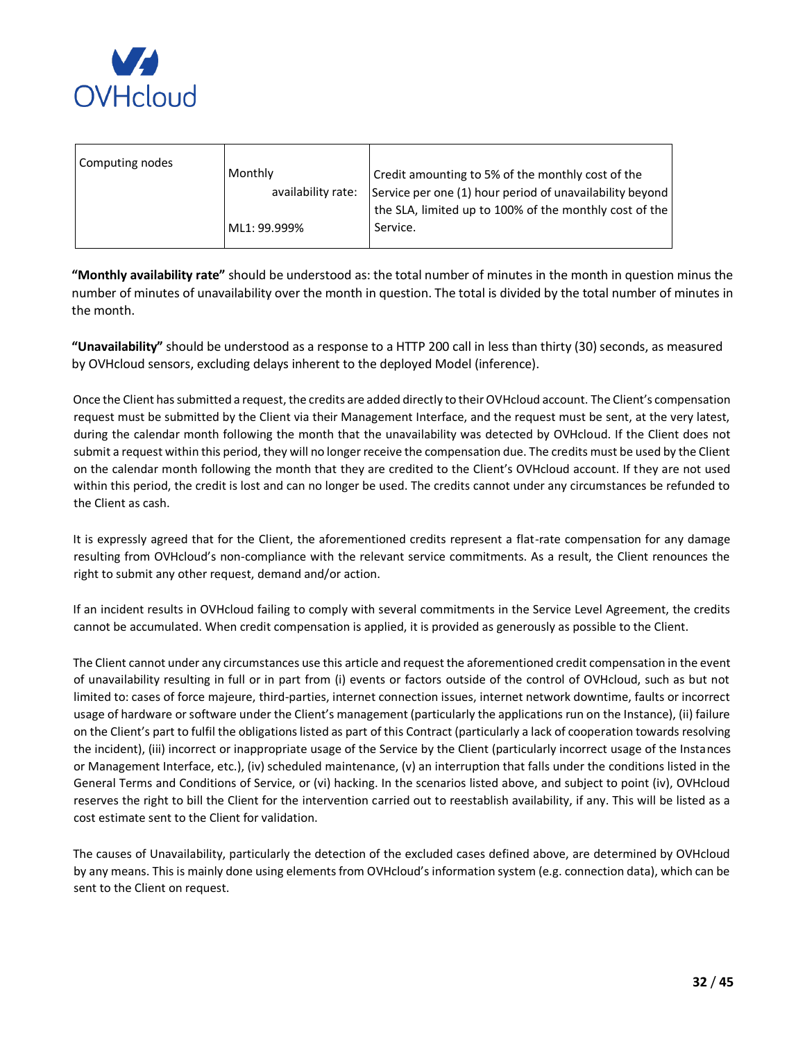

| Computing nodes<br>Monthly<br>availability rate:<br>Service.<br>ML1: 99.999% | Credit amounting to 5% of the monthly cost of the<br>Service per one (1) hour period of unavailability beyond<br>the SLA, limited up to 100% of the monthly cost of the |
|------------------------------------------------------------------------------|-------------------------------------------------------------------------------------------------------------------------------------------------------------------------|
|------------------------------------------------------------------------------|-------------------------------------------------------------------------------------------------------------------------------------------------------------------------|

**"Monthly availability rate"** should be understood as: the total number of minutes in the month in question minus the number of minutes of unavailability over the month in question. The total is divided by the total number of minutes in the month.

**"Unavailability"** should be understood as a response to a HTTP 200 call in less than thirty (30) seconds, as measured by OVHcloud sensors, excluding delays inherent to the deployed Model (inference).

Once the Client has submitted a request, the credits are added directly to their OVHcloud account. The Client's compensation request must be submitted by the Client via their Management Interface, and the request must be sent, at the very latest, during the calendar month following the month that the unavailability was detected by OVHcloud. If the Client does not submit a request within this period, they will no longer receive the compensation due. The credits must be used by the Client on the calendar month following the month that they are credited to the Client's OVHcloud account. If they are not used within this period, the credit is lost and can no longer be used. The credits cannot under any circumstances be refunded to the Client as cash.

It is expressly agreed that for the Client, the aforementioned credits represent a flat-rate compensation for any damage resulting from OVHcloud's non-compliance with the relevant service commitments. As a result, the Client renounces the right to submit any other request, demand and/or action.

If an incident results in OVHcloud failing to comply with several commitments in the Service Level Agreement, the credits cannot be accumulated. When credit compensation is applied, it is provided as generously as possible to the Client.

The Client cannot under any circumstances use this article and request the aforementioned credit compensation in the event of unavailability resulting in full or in part from (i) events or factors outside of the control of OVHcloud, such as but not limited to: cases of force majeure, third-parties, internet connection issues, internet network downtime, faults or incorrect usage of hardware or software under the Client's management (particularly the applications run on the Instance), (ii) failure on the Client's part to fulfil the obligations listed as part of this Contract (particularly a lack of cooperation towards resolving the incident), (iii) incorrect or inappropriate usage of the Service by the Client (particularly incorrect usage of the Instances or Management Interface, etc.), (iv) scheduled maintenance, (v) an interruption that falls under the conditions listed in the General Terms and Conditions of Service, or (vi) hacking. In the scenarios listed above, and subject to point (iv), OVHcloud reserves the right to bill the Client for the intervention carried out to reestablish availability, if any. This will be listed as a cost estimate sent to the Client for validation.

The causes of Unavailability, particularly the detection of the excluded cases defined above, are determined by OVHcloud by any means. This is mainly done using elements from OVHcloud's information system (e.g. connection data), which can be sent to the Client on request.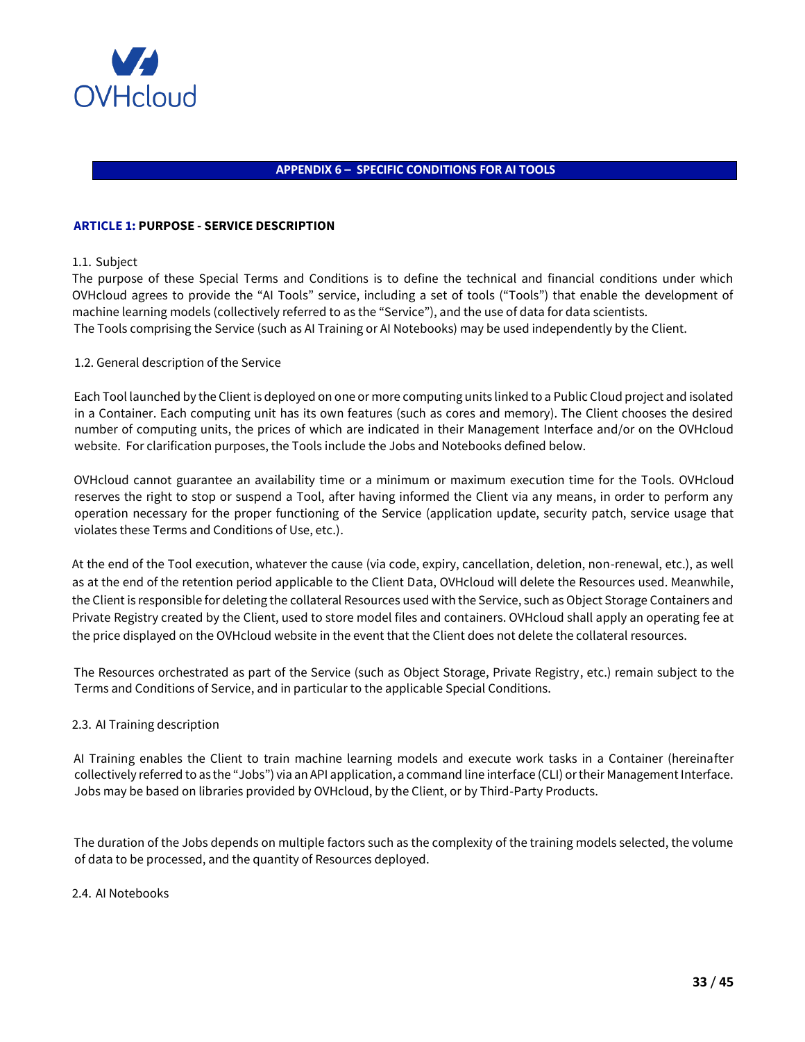

# <span id="page-32-0"></span>**APPENDIX 6 – SPECIFIC CONDITIONS FOR AI TOOLS**

## **ARTICLE 1: PURPOSE -SERVICE DESCRIPTION**

## 1.1. Subject

The purpose of these Special Terms and Conditions is to define the technical and financial conditions under which OVHcloud agrees to provide the "AI Tools" service, including a set of tools ("Tools") that enable the development of machine learning models (collectively referred to as the "Service"), and the use of data for data scientists. The Tools comprising the Service (such as AI Training or AI Notebooks) may be used independently by the Client.

# 1.2. General description of the Service

Each Tool launched by the Client is deployed on one or more computing units linked to a Public Cloud project and isolated in a Container. Each computing unit has its own features (such as cores and memory). The Client chooses the desired number of computing units, the prices of which are indicated in their Management Interface and/or on the OVHcloud website. For clarification purposes, the Tools include the Jobs and Notebooks defined below.

OVHcloud cannot guarantee an availability time or a minimum or maximum execution time for the Tools. OVHcloud reserves the right to stop or suspend a Tool, after having informed the Client via any means, in order to perform any operation necessary for the proper functioning of the Service (application update, security patch, service usage that violates these Terms and Conditions of Use, etc.).

At the end of the Tool execution, whatever the cause (via code, expiry, cancellation, deletion, non-renewal, etc.), as well as at the end of the retention period applicable to the Client Data, OVHcloud will delete the Resources used. Meanwhile, the Client is responsible for deleting the collateral Resources used with the Service, such as Object Storage Containers and Private Registry created by the Client, used to store model files and containers. OVHcloud shall apply an operating fee at the price displayed on the OVHcloud website in the event that the Client does not delete the collateral resources.

The Resources orchestrated as part of the Service (such as Object Storage, Private Registry, etc.) remain subject to the Terms and Conditions of Service, and in particular to the applicable Special Conditions.

## 2.3. AI Training description

AI Training enables the Client to train machine learning models and execute work tasks in a Container (hereinafter collectively referred to as the "Jobs") via an API application, a command line interface (CLI) or their Management Interface. Jobs may be based on libraries provided by OVHcloud, by the Client, or by Third-Party Products.

The duration of the Jobs depends on multiple factors such as the complexity of the training models selected, the volume of data to be processed, and the quantity of Resources deployed.

## 2.4. AI Notebooks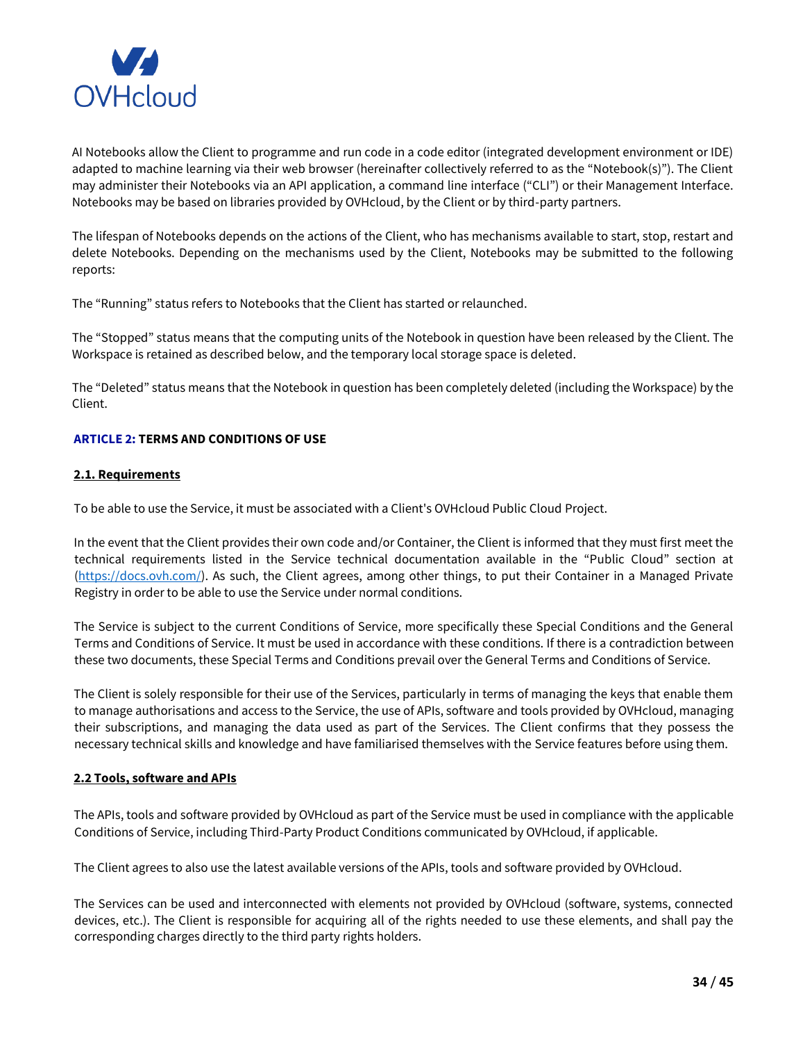

AI Notebooks allow the Client to programme and run code in a code editor (integrated development environment or IDE) adapted to machine learning via their web browser (hereinafter collectively referred to as the "Notebook(s)"). The Client may administer their Notebooks via an API application, a command line interface ("CLI") or their Management Interface. Notebooks may be based on libraries provided by OVHcloud, by the Client or by third-party partners.

The lifespan of Notebooks depends on the actions of the Client, who has mechanisms available to start, stop, restart and delete Notebooks. Depending on the mechanisms used by the Client, Notebooks may be submitted to the following reports:

The "Running" status refers to Notebooks that the Client has started or relaunched.

The "Stopped" status means that the computing units of the Notebook in question have been released by the Client. The Workspace is retained as described below, and the temporary local storage space is deleted.

The "Deleted" status means that the Notebook in question has been completely deleted (including the Workspace) by the Client.

# **ARTICLE 2: TERMS AND CONDITIONS OF USE**

# **2.1. Requirements**

To be able to use the Service, it must be associated with a Client's OVHcloud Public Cloud Project.

In the event that the Client provides their own code and/or Container, the Client is informed that they must first meet the technical requirements listed in the Service technical documentation available in the "Public Cloud" section at [\(https://docs.ovh.com/\)](https://docs.ovh.com/gb/en/). As such, the Client agrees, among other things, to put their Container in a Managed Private Registry in order to be able to use the Service under normal conditions.

The Service is subject to the current Conditions of Service, more specifically these Special Conditions and the General Terms and Conditions of Service. It must be used in accordance with these conditions. If there is a contradiction between these two documents, these Special Terms and Conditions prevail over the General Terms and Conditions of Service.

The Client is solely responsible for their use of the Services, particularly in terms of managing the keys that enable them to manage authorisations and access to the Service, the use of APIs, software and tools provided by OVHcloud, managing their subscriptions, and managing the data used as part of the Services. The Client confirms that they possess the necessary technical skills and knowledge and have familiarised themselves with the Service features before using them.

## **2.2 Tools, software and APIs**

The APIs, tools and software provided by OVHcloud as part of the Service must be used in compliance with the applicable Conditions of Service, including Third-Party Product Conditions communicated by OVHcloud, if applicable.

The Client agrees to also use the latest available versions of the APIs, tools and software provided by OVHcloud.

The Services can be used and interconnected with elements not provided by OVHcloud (software, systems, connected devices, etc.). The Client is responsible for acquiring all of the rights needed to use these elements, and shall pay the corresponding charges directly to the third party rights holders.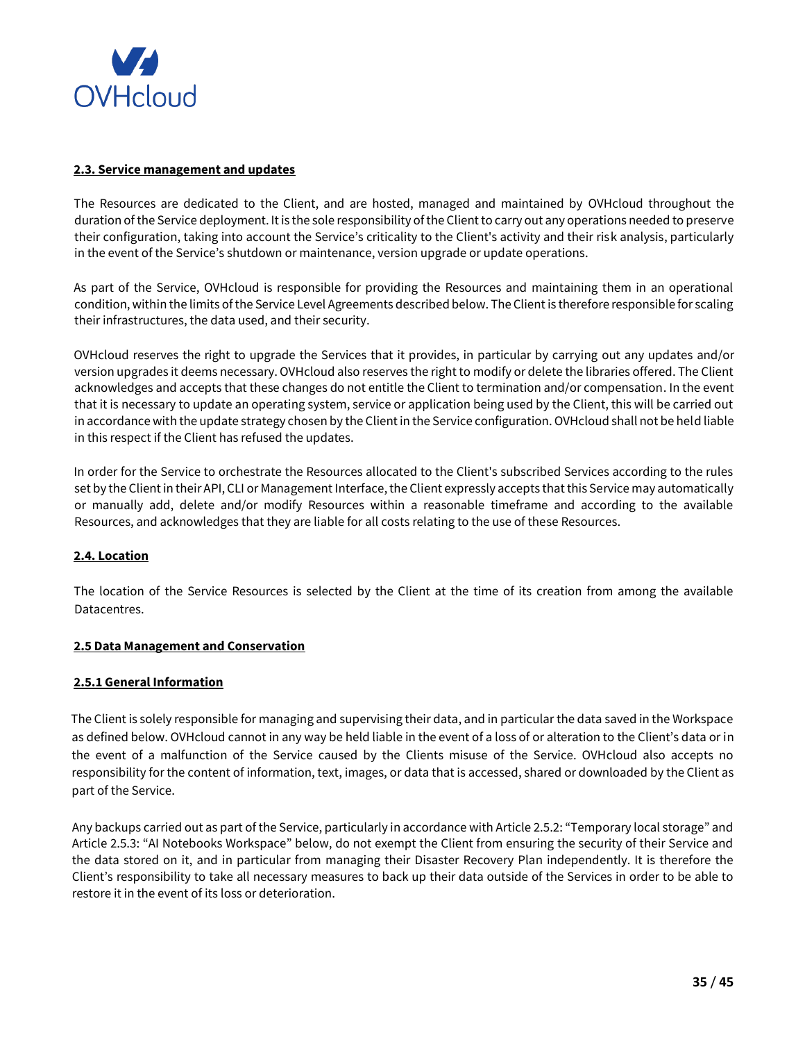

## **2.3. Service management and updates**

The Resources are dedicated to the Client, and are hosted, managed and maintained by OVHcloud throughout the duration of the Service deployment. It is the sole responsibility of the Client to carry out any operations needed to preserve their configuration, taking into account the Service's criticality to the Client's activity and their risk analysis, particularly in the event of the Service's shutdown or maintenance, version upgrade or update operations.

As part of the Service, OVHcloud is responsible for providing the Resources and maintaining them in an operational condition, within the limits of the Service Level Agreements described below. The Client is therefore responsible for scaling their infrastructures, the data used, and their security.

OVHcloud reserves the right to upgrade the Services that it provides, in particular by carrying out any updates and/or version upgrades it deems necessary. OVHcloud also reserves the right to modify or delete the libraries offered. The Client acknowledges and accepts that these changes do not entitle the Client to termination and/or compensation. In the event that it is necessary to update an operating system, service or application being used by the Client, this will be carried out in accordance with the update strategy chosen by the Client in the Service configuration. OVHcloud shall not be held liable in this respect if the Client has refused the updates.

In order for the Service to orchestrate the Resources allocated to the Client's subscribed Services according to the rules set by the Client in their API, CLI or Management Interface, the Client expressly accepts that this Service may automatically or manually add, delete and/or modify Resources within a reasonable timeframe and according to the available Resources, and acknowledges that they are liable for all costs relating to the use of these Resources.

# **2.4. Location**

The location of the Service Resources is selected by the Client at the time of its creation from among the available Datacentres.

## **2.5 Data Management and Conservation**

## **2.5.1 General Information**

The Client is solely responsible for managing and supervising their data, and in particular the data saved in the Workspace as defined below. OVHcloud cannot in any way be held liable in the event of a loss of or alteration to the Client's data or in the event of a malfunction of the Service caused by the Clients misuse of the Service. OVHcloud also accepts no responsibility for the content of information, text, images, or data that is accessed, shared or downloaded by the Client as part of the Service.

Any backups carried out as part of the Service, particularly in accordance with Article 2.5.2: "Temporary local storage" and Article 2.5.3: "AI Notebooks Workspace" below, do not exempt the Client from ensuring the security of their Service and the data stored on it, and in particular from managing their Disaster Recovery Plan independently. It is therefore the Client's responsibility to take all necessary measures to back up their data outside of the Services in order to be able to restore it in the event of its loss or deterioration.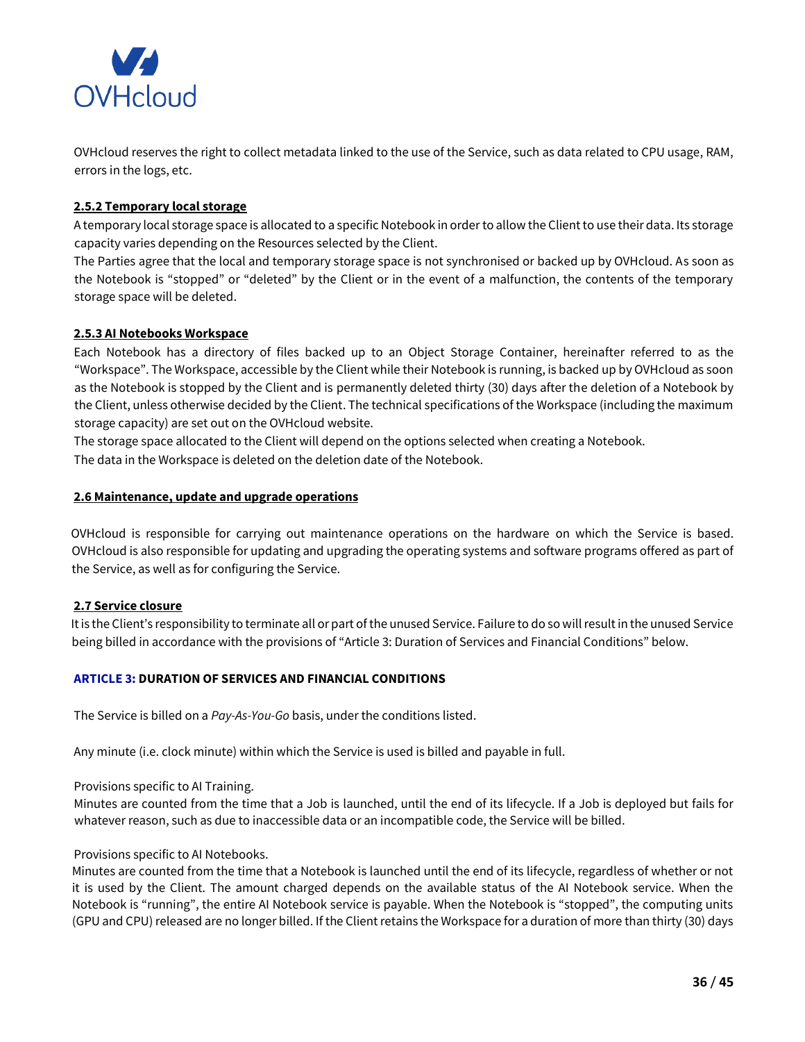

OVHcloud reserves the right to collect metadata linked to the use of the Service, such as data related to CPU usage, RAM, errors in the logs, etc.

# **2.5.2 Temporary local storage**

A temporary local storage space is allocated to a specific Notebook in order to allow the Client to use their data. Its storage capacity varies depending on the Resources selected by the Client.

The Parties agree that the local and temporary storage space is not synchronised or backed up by OVHcloud. As soon as the Notebook is "stopped" or "deleted" by the Client or in the event of a malfunction, the contents of the temporary storage space will be deleted.

# **2.5.3 AI Notebooks Workspace**

Each Notebook has a directory of files backed up to an Object Storage Container, hereinafter referred to as the "Workspace". The Workspace, accessible by the Client while their Notebook is running, is backed up by OVHcloud as soon as the Notebook is stopped by the Client and is permanently deleted thirty (30) days after the deletion of a Notebook by the Client, unless otherwise decided by the Client. The technical specifications of the Workspace (including the maximum storage capacity) are set out on the OVHcloud website.

The storage space allocated to the Client will depend on the options selected when creating a Notebook. The data in the Workspace is deleted on the deletion date of the Notebook.

# **2.6 Maintenance, update and upgrade operations**

OVHcloud is responsible for carrying out maintenance operations on the hardware on which the Service is based. OVHcloud is also responsible for updating and upgrading the operating systems and software programs offered as part of the Service, as well as for configuring the Service.

# **2.7 Service closure**

It is the Client's responsibility to terminate all or part of the unused Service. Failure to do so will result in the unused Service being billed in accordance with the provisions of "Article 3: Duration of Services and Financial Conditions" below.

## **ARTICLE 3: DURATION OF SERVICES AND FINANCIAL CONDITIONS**

The Service is billed on a *Pay-As-You-Go* basis, under the conditions listed.

Any minute (i.e. clock minute) within which the Service is used is billed and payable in full.

## Provisions specific to AI Training.

Minutes are counted from the time that a Job is launched, until the end of its lifecycle. If a Job is deployed but fails for whatever reason, such as due to inaccessible data or an incompatible code, the Service will be billed.

## Provisions specific to AI Notebooks.

Minutes are counted from the time that a Notebook is launched until the end of its lifecycle, regardless of whether or not it is used by the Client. The amount charged depends on the available status of the AI Notebook service. When the Notebook is "running", the entire AI Notebook service is payable. When the Notebook is "stopped", the computing units (GPU and CPU) released are no longer billed. If the Client retains the Workspace for a duration of more than thirty (30) days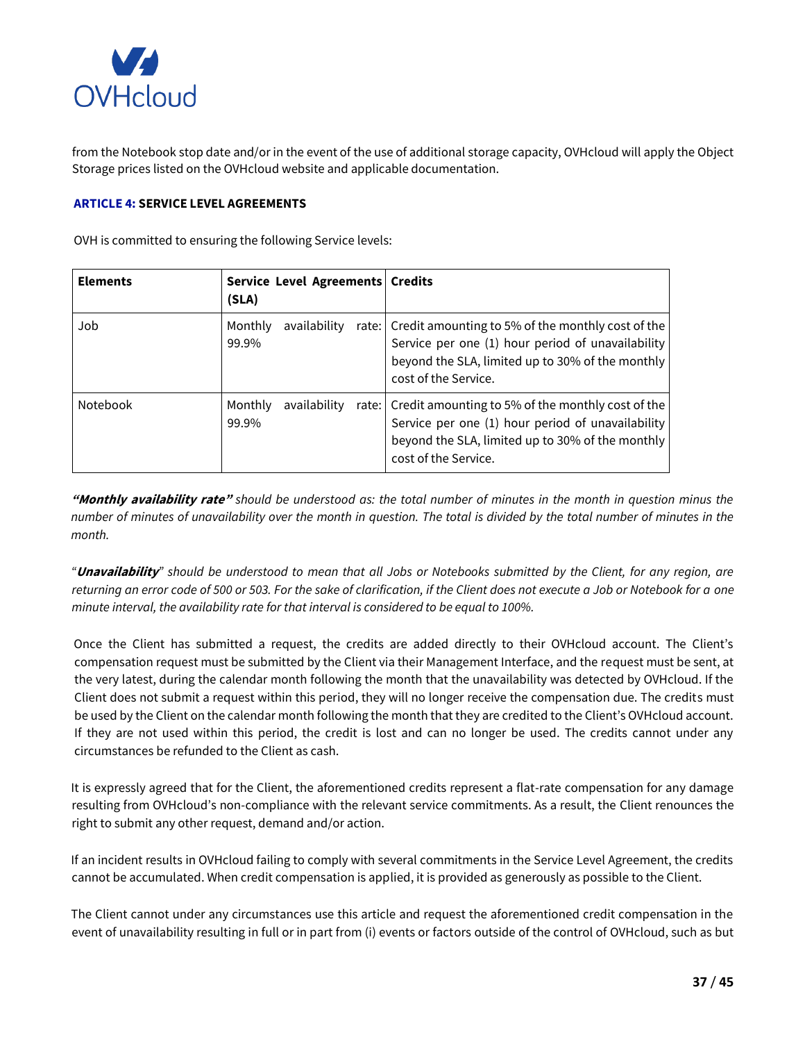

from the Notebook stop date and/or in the event of the use of additional storage capacity, OVHcloud will apply the Object Storage prices listed on the OVHcloud website and applicable documentation.

## **ARTICLE 4: SERVICE LEVEL AGREEMENTS**

OVH is committed to ensuring the following Service levels:

| <b>Elements</b> | Service Level Agreements   Credits<br>(SLA) |                                                                                                                                                                                              |
|-----------------|---------------------------------------------|----------------------------------------------------------------------------------------------------------------------------------------------------------------------------------------------|
| Job             | Monthly<br>availability<br>99.9%            | rate: Credit amounting to 5% of the monthly cost of the<br>Service per one (1) hour period of unavailability<br>beyond the SLA, limited up to 30% of the monthly<br>cost of the Service.     |
| <b>Notebook</b> | Monthly<br>availability<br>99.9%            | rate:   Credit amounting to 5% of the monthly cost of the  <br>Service per one (1) hour period of unavailability<br>beyond the SLA, limited up to 30% of the monthly<br>cost of the Service. |

**"Monthly availability rate"** *should be understood as: the total number of minutes in the month in question minus the number of minutes of unavailability over the month in question. The total is divided by the total number of minutes in the month.* 

*"***Unavailability***" should be understood to mean that all Jobs or Notebooks submitted by the Client, for any region, are returning an error code of 500 or 503. For the sake of clarification, if the Client does not execute a Job or Notebook for a one minute interval, the availability rate for that interval is considered to be equal to 100%.*

Once the Client has submitted a request, the credits are added directly to their OVHcloud account. The Client's compensation request must be submitted by the Client via their Management Interface, and the request must be sent, at the very latest, during the calendar month following the month that the unavailability was detected by OVHcloud. If the Client does not submit a request within this period, they will no longer receive the compensation due. The credits must be used by the Client on the calendar month following the month that they are credited to the Client's OVHcloud account. If they are not used within this period, the credit is lost and can no longer be used. The credits cannot under any circumstances be refunded to the Client as cash.

It is expressly agreed that for the Client, the aforementioned credits represent a flat-rate compensation for any damage resulting from OVHcloud's non-compliance with the relevant service commitments. As a result, the Client renounces the right to submit any other request, demand and/or action.

If an incident results in OVHcloud failing to comply with several commitments in the Service Level Agreement, the credits cannot be accumulated. When credit compensation is applied, it is provided as generously as possible to the Client.

The Client cannot under any circumstances use this article and request the aforementioned credit compensation in the event of unavailability resulting in full or in part from (i) events or factors outside of the control of OVHcloud, such as but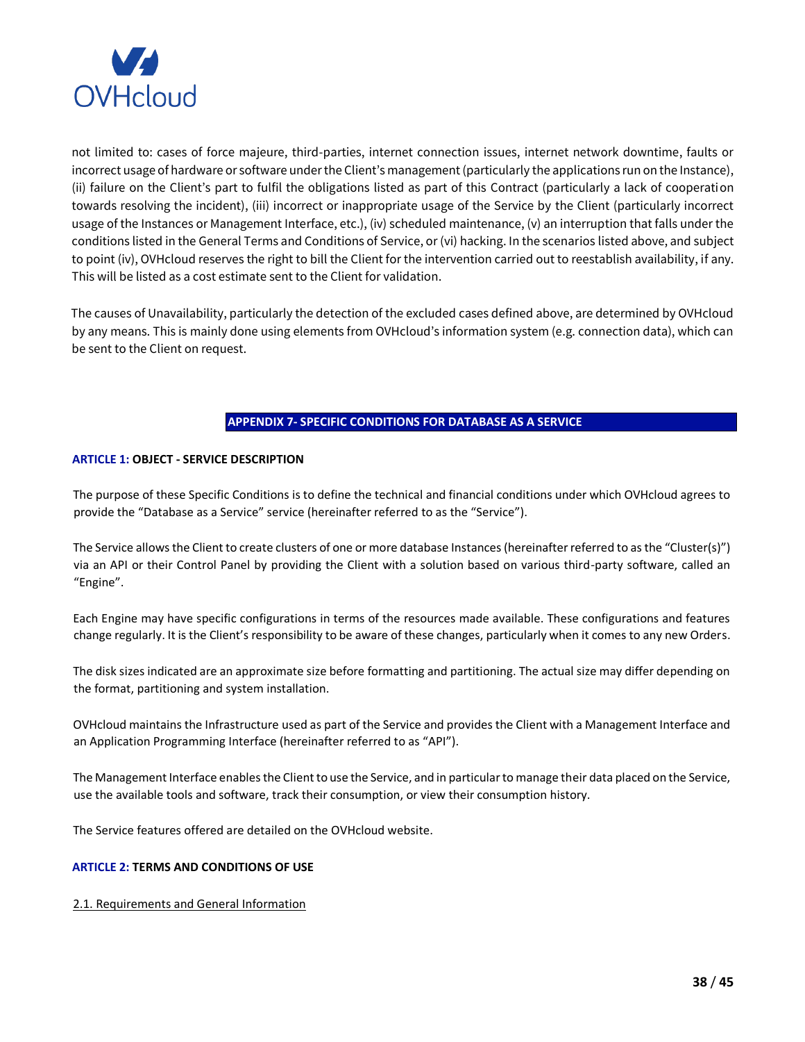

not limited to: cases of force majeure, third-parties, internet connection issues, internet network downtime, faults or incorrect usage of hardware or software under the Client's management (particularly the applications run on the Instance), (ii) failure on the Client's part to fulfil the obligations listed as part of this Contract (particularly a lack of cooperation towards resolving the incident), (iii) incorrect or inappropriate usage of the Service by the Client (particularly incorrect usage of the Instances or Management Interface, etc.), (iv) scheduled maintenance, (v) an interruption that falls under the conditions listed in the General Terms and Conditions of Service, or (vi) hacking. In the scenarios listed above, and subject to point (iv), OVHcloud reserves the right to bill the Client for the intervention carried out to reestablish availability, if any. This will be listed as a cost estimate sent to the Client for validation.

The causes of Unavailability, particularly the detection of the excluded cases defined above, are determined by OVHcloud by any means. This is mainly done using elements from OVHcloud's information system (e.g. connection data), which can be sent to the Client on request.

# **APPENDIX 7- SPECIFIC CONDITIONS FOR DATABASE AS A SERVICE**

## <span id="page-37-0"></span>**ARTICLE 1: OBJECT - SERVICE DESCRIPTION**

The purpose of these Specific Conditions is to define the technical and financial conditions under which OVHcloud agrees to provide the "Database as a Service" service (hereinafter referred to as the "Service").

The Service allows the Client to create clusters of one or more database Instances (hereinafter referred to as the "Cluster(s)") via an API or their Control Panel by providing the Client with a solution based on various third-party software, called an "Engine".

Each Engine may have specific configurations in terms of the resources made available. These configurations and features change regularly. It is the Client's responsibility to be aware of these changes, particularly when it comes to any new Orders.

The disk sizes indicated are an approximate size before formatting and partitioning. The actual size may differ depending on the format, partitioning and system installation.

OVHcloud maintains the Infrastructure used as part of the Service and provides the Client with a Management Interface and an Application Programming Interface (hereinafter referred to as "API").

The Management Interface enables the Client to use the Service, and in particular to manage their data placed on the Service, use the available tools and software, track their consumption, or view their consumption history.

The Service features offered are detailed on the OVHcloud website.

## **ARTICLE 2: TERMS AND CONDITIONS OF USE**

2.1. Requirements and General Information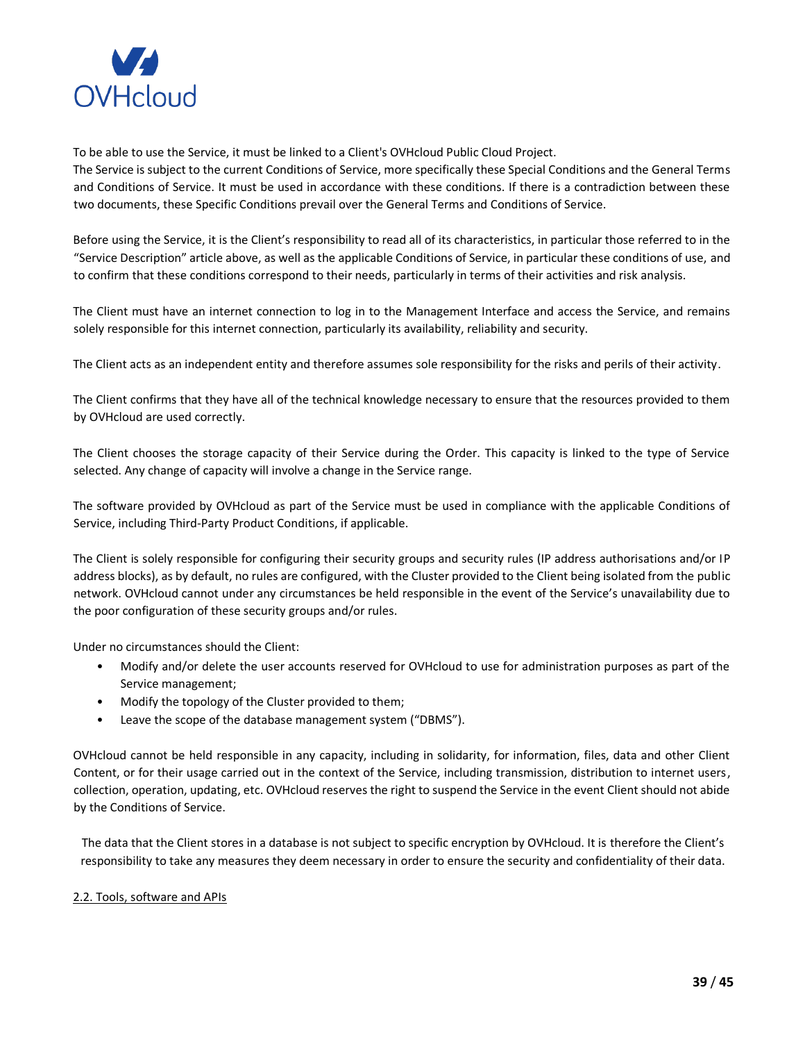

To be able to use the Service, it must be linked to a Client's OVHcloud Public Cloud Project.

The Service is subject to the current Conditions of Service, more specifically these Special Conditions and the General Terms and Conditions of Service. It must be used in accordance with these conditions. If there is a contradiction between these two documents, these Specific Conditions prevail over the General Terms and Conditions of Service.

Before using the Service, it is the Client's responsibility to read all of its characteristics, in particular those referred to in the "Service Description" article above, as well as the applicable Conditions of Service, in particular these conditions of use, and to confirm that these conditions correspond to their needs, particularly in terms of their activities and risk analysis.

The Client must have an internet connection to log in to the Management Interface and access the Service, and remains solely responsible for this internet connection, particularly its availability, reliability and security.

The Client acts as an independent entity and therefore assumes sole responsibility for the risks and perils of their activity.

The Client confirms that they have all of the technical knowledge necessary to ensure that the resources provided to them by OVHcloud are used correctly.

The Client chooses the storage capacity of their Service during the Order. This capacity is linked to the type of Service selected. Any change of capacity will involve a change in the Service range.

The software provided by OVHcloud as part of the Service must be used in compliance with the applicable Conditions of Service, including Third-Party Product Conditions, if applicable.

The Client is solely responsible for configuring their security groups and security rules (IP address authorisations and/or IP address blocks), as by default, no rules are configured, with the Cluster provided to the Client being isolated from the public network. OVHcloud cannot under any circumstances be held responsible in the event of the Service's unavailability due to the poor configuration of these security groups and/or rules.

Under no circumstances should the Client:

- Modify and/or delete the user accounts reserved for OVHcloud to use for administration purposes as part of the Service management;
- Modify the topology of the Cluster provided to them;
- Leave the scope of the database management system ("DBMS").

OVHcloud cannot be held responsible in any capacity, including in solidarity, for information, files, data and other Client Content, or for their usage carried out in the context of the Service, including transmission, distribution to internet users, collection, operation, updating, etc. OVHcloud reserves the right to suspend the Service in the event Client should not abide by the Conditions of Service.

The data that the Client stores in a database is not subject to specific encryption by OVHcloud. It is therefore the Client's responsibility to take any measures they deem necessary in order to ensure the security and confidentiality of their data.

## 2.2. Tools, software and APIs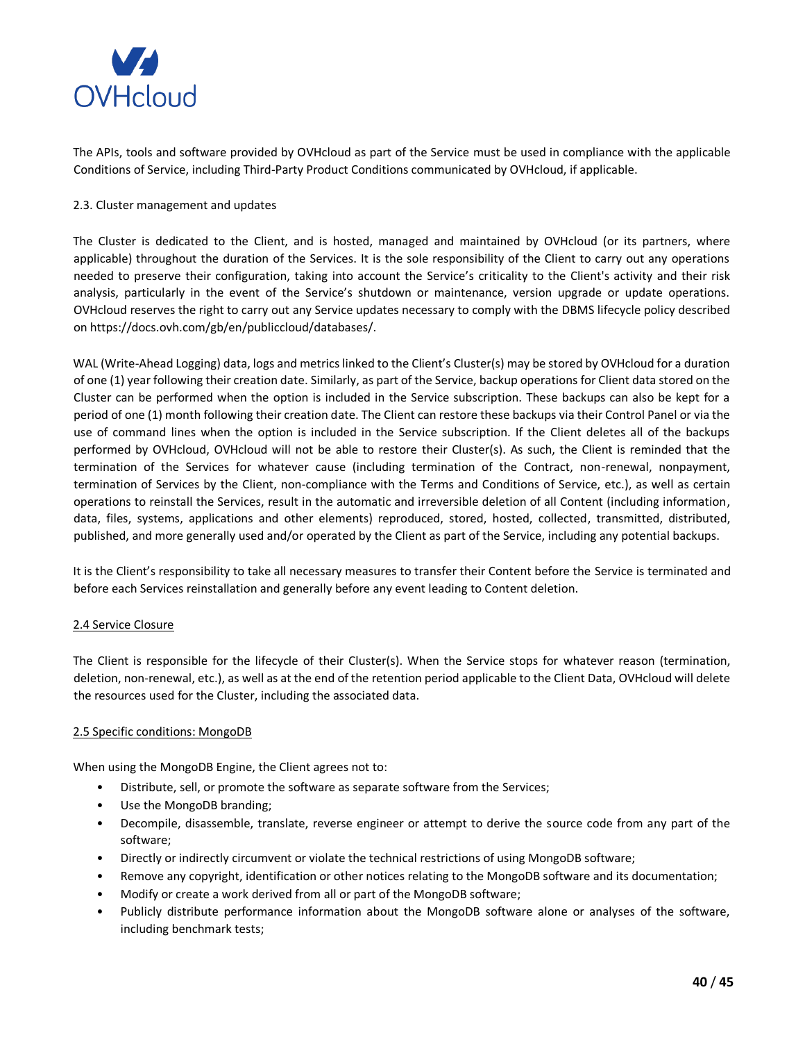

The APIs, tools and software provided by OVHcloud as part of the Service must be used in compliance with the applicable Conditions of Service, including Third-Party Product Conditions communicated by OVHcloud, if applicable.

## 2.3. Cluster management and updates

The Cluster is dedicated to the Client, and is hosted, managed and maintained by OVHcloud (or its partners, where applicable) throughout the duration of the Services. It is the sole responsibility of the Client to carry out any operations needed to preserve their configuration, taking into account the Service's criticality to the Client's activity and their risk analysis, particularly in the event of the Service's shutdown or maintenance, version upgrade or update operations. OVHcloud reserves the right to carry out any Service updates necessary to comply with the DBMS lifecycle policy described on https://docs.ovh.com/gb/en/publiccloud/databases/.

WAL (Write-Ahead Logging) data, logs and metrics linked to the Client's Cluster(s) may be stored by OVHcloud for a duration of one (1) year following their creation date. Similarly, as part of the Service, backup operations for Client data stored on the Cluster can be performed when the option is included in the Service subscription. These backups can also be kept for a period of one (1) month following their creation date. The Client can restore these backups via their Control Panel or via the use of command lines when the option is included in the Service subscription. If the Client deletes all of the backups performed by OVHcloud, OVHcloud will not be able to restore their Cluster(s). As such, the Client is reminded that the termination of the Services for whatever cause (including termination of the Contract, non-renewal, nonpayment, termination of Services by the Client, non-compliance with the Terms and Conditions of Service, etc.), as well as certain operations to reinstall the Services, result in the automatic and irreversible deletion of all Content (including information, data, files, systems, applications and other elements) reproduced, stored, hosted, collected, transmitted, distributed, published, and more generally used and/or operated by the Client as part of the Service, including any potential backups.

It is the Client's responsibility to take all necessary measures to transfer their Content before the Service is terminated and before each Services reinstallation and generally before any event leading to Content deletion.

## 2.4 Service Closure

The Client is responsible for the lifecycle of their Cluster(s). When the Service stops for whatever reason (termination, deletion, non-renewal, etc.), as well as at the end of the retention period applicable to the Client Data, OVHcloud will delete the resources used for the Cluster, including the associated data.

#### 2.5 Specific conditions: MongoDB

When using the MongoDB Engine, the Client agrees not to:

- Distribute, sell, or promote the software as separate software from the Services;
- Use the MongoDB branding;
- Decompile, disassemble, translate, reverse engineer or attempt to derive the source code from any part of the software;
- Directly or indirectly circumvent or violate the technical restrictions of using MongoDB software;
- Remove any copyright, identification or other notices relating to the MongoDB software and its documentation;
- Modify or create a work derived from all or part of the MongoDB software;
- Publicly distribute performance information about the MongoDB software alone or analyses of the software, including benchmark tests;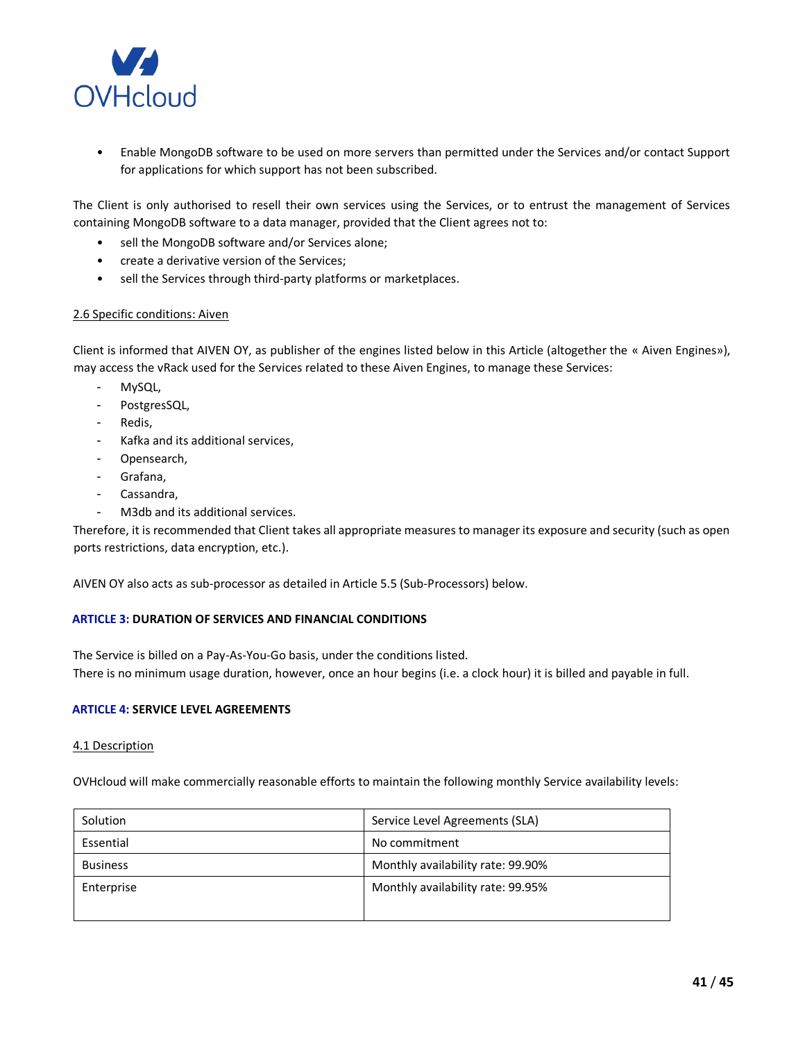

• Enable MongoDB software to be used on more servers than permitted under the Services and/or contact Support for applications for which support has not been subscribed.

The Client is only authorised to resell their own services using the Services, or to entrust the management of Services containing MongoDB software to a data manager, provided that the Client agrees not to:

- sell the MongoDB software and/or Services alone;
- create a derivative version of the Services;
- sell the Services through third-party platforms or marketplaces.

### 2.6 Specific conditions: Aiven

Client is informed that AIVEN OY, as publisher of the engines listed below in this Article (altogether the « Aiven Engines»), may access the vRack used for the Services related to these Aiven Engines, to manage these Services:

- MySQL,
- PostgresSQL,
- Redis,
- Kafka and its additional services,
- Opensearch,
- Grafana,
- Cassandra,
- M3db and its additional services.

Therefore, it is recommended that Client takes all appropriate measures to manager its exposure and security (such as open ports restrictions, data encryption, etc.).

AIVEN OY also acts as sub-processor as detailed in Article 5.5 (Sub-Processors) below.

## **ARTICLE 3: DURATION OF SERVICES AND FINANCIAL CONDITIONS**

The Service is billed on a Pay-As-You-Go basis, under the conditions listed. There is no minimum usage duration, however, once an hour begins (i.e. a clock hour) it is billed and payable in full.

#### **ARTICLE 4: SERVICE LEVEL AGREEMENTS**

#### 4.1 Description

OVHcloud will make commercially reasonable efforts to maintain the following monthly Service availability levels:

| Solution        | Service Level Agreements (SLA)    |
|-----------------|-----------------------------------|
| Essential       | No commitment                     |
| <b>Business</b> | Monthly availability rate: 99.90% |
| Enterprise      | Monthly availability rate: 99.95% |
|                 |                                   |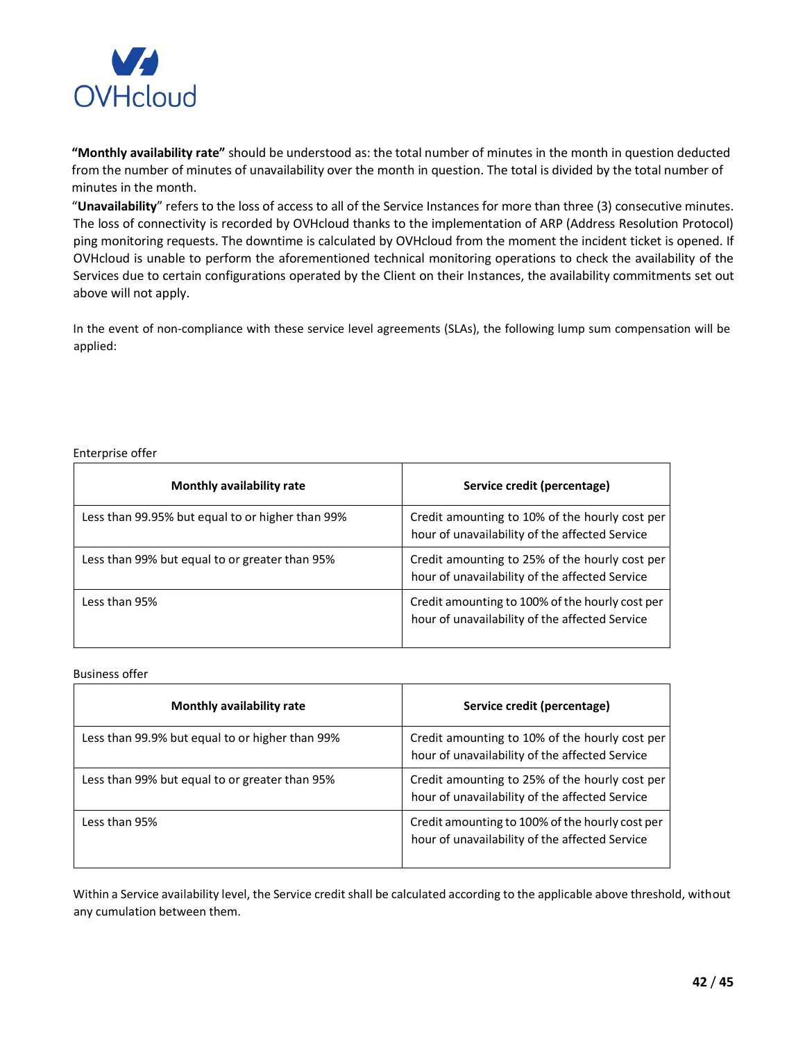

**"Monthly availability rate"** should be understood as: the total number of minutes in the month in question deducted from the number of minutes of unavailability over the month in question. The total is divided by the total number of minutes in the month.

"**Unavailability**" refers to the loss of access to all of the Service Instances for more than three (3) consecutive minutes. The loss of connectivity is recorded by OVHcloud thanks to the implementation of ARP (Address Resolution Protocol) ping monitoring requests. The downtime is calculated by OVHcloud from the moment the incident ticket is opened. If OVHcloud is unable to perform the aforementioned technical monitoring operations to check the availability of the Services due to certain configurations operated by the Client on their Instances, the availability commitments set out above will not apply.

In the event of non-compliance with these service level agreements (SLAs), the following lump sum compensation will be applied:

#### Enterprise offer

| Monthly availability rate                        | Service credit (percentage)                                                                       |
|--------------------------------------------------|---------------------------------------------------------------------------------------------------|
| Less than 99.95% but equal to or higher than 99% | Credit amounting to 10% of the hourly cost per<br>hour of unavailability of the affected Service  |
| Less than 99% but equal to or greater than 95%   | Credit amounting to 25% of the hourly cost per<br>hour of unavailability of the affected Service  |
| Less than 95%                                    | Credit amounting to 100% of the hourly cost per<br>hour of unavailability of the affected Service |

Business offer

| Monthly availability rate                       | Service credit (percentage)                                                                       |
|-------------------------------------------------|---------------------------------------------------------------------------------------------------|
| Less than 99.9% but equal to or higher than 99% | Credit amounting to 10% of the hourly cost per<br>hour of unavailability of the affected Service  |
| Less than 99% but equal to or greater than 95%  | Credit amounting to 25% of the hourly cost per<br>hour of unavailability of the affected Service  |
| Less than 95%                                   | Credit amounting to 100% of the hourly cost per<br>hour of unavailability of the affected Service |

Within a Service availability level, the Service credit shall be calculated according to the applicable above threshold, without any cumulation between them.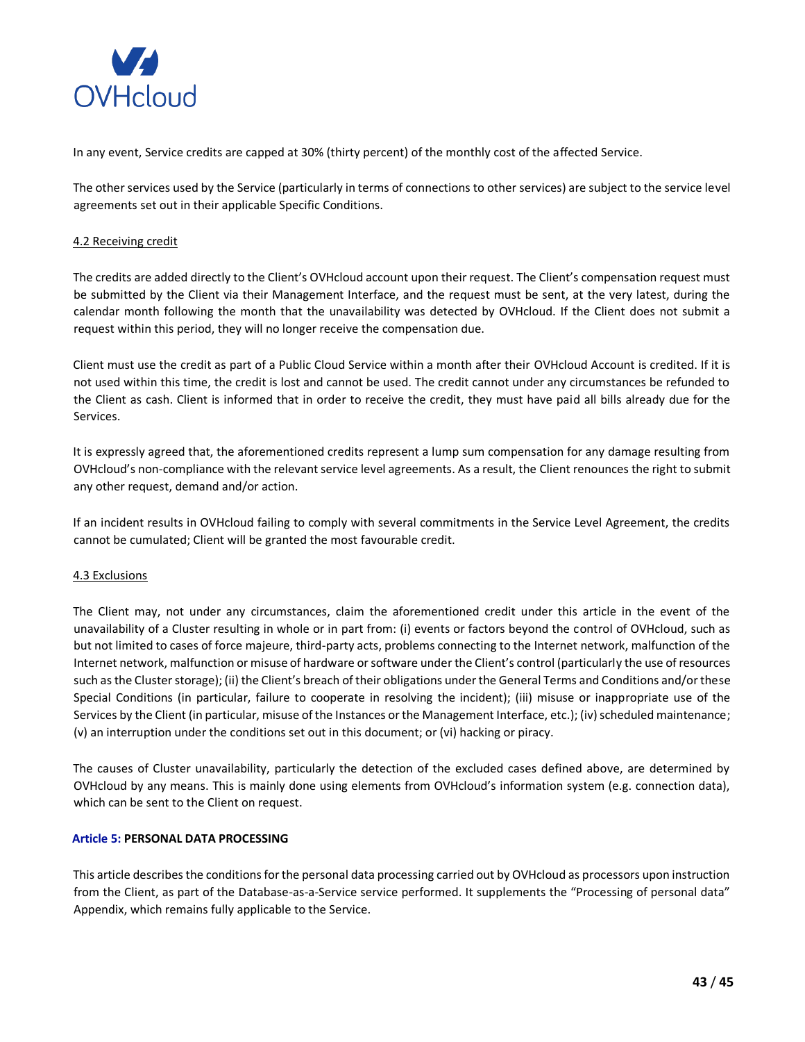

In any event, Service credits are capped at 30% (thirty percent) of the monthly cost of the affected Service.

The other services used by the Service (particularly in terms of connections to other services) are subject to the service level agreements set out in their applicable Specific Conditions.

# 4.2 Receiving credit

The credits are added directly to the Client's OVHcloud account upon their request. The Client's compensation request must be submitted by the Client via their Management Interface, and the request must be sent, at the very latest, during the calendar month following the month that the unavailability was detected by OVHcloud. If the Client does not submit a request within this period, they will no longer receive the compensation due.

Client must use the credit as part of a Public Cloud Service within a month after their OVHcloud Account is credited. If it is not used within this time, the credit is lost and cannot be used. The credit cannot under any circumstances be refunded to the Client as cash. Client is informed that in order to receive the credit, they must have paid all bills already due for the Services.

It is expressly agreed that, the aforementioned credits represent a lump sum compensation for any damage resulting from OVHcloud's non-compliance with the relevant service level agreements. As a result, the Client renounces the right to submit any other request, demand and/or action.

If an incident results in OVHcloud failing to comply with several commitments in the Service Level Agreement, the credits cannot be cumulated; Client will be granted the most favourable credit.

## 4.3 Exclusions

The Client may, not under any circumstances, claim the aforementioned credit under this article in the event of the unavailability of a Cluster resulting in whole or in part from: (i) events or factors beyond the control of OVHcloud, such as but not limited to cases of force majeure, third-party acts, problems connecting to the Internet network, malfunction of the Internet network, malfunction or misuse of hardware or software under the Client's control (particularly the use of resources such as the Cluster storage); (ii) the Client's breach of their obligations under the General Terms and Conditions and/or these Special Conditions (in particular, failure to cooperate in resolving the incident); (iii) misuse or inappropriate use of the Services by the Client (in particular, misuse of the Instances or the Management Interface, etc.); (iv) scheduled maintenance; (v) an interruption under the conditions set out in this document; or (vi) hacking or piracy.

The causes of Cluster unavailability, particularly the detection of the excluded cases defined above, are determined by OVHcloud by any means. This is mainly done using elements from OVHcloud's information system (e.g. connection data), which can be sent to the Client on request.

## **Article 5: PERSONAL DATA PROCESSING**

This article describes the conditions for the personal data processing carried out by OVHcloud as processors upon instruction from the Client, as part of the Database-as-a-Service service performed. It supplements the "Processing of personal data" Appendix, which remains fully applicable to the Service.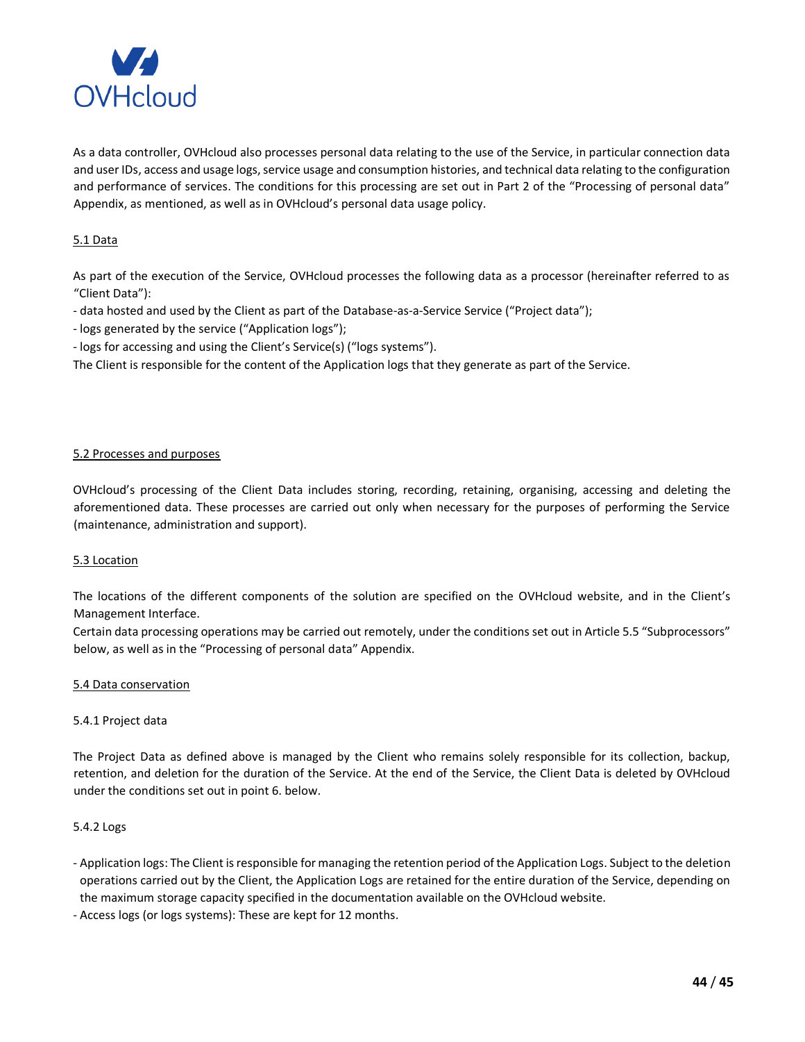

As a data controller, OVHcloud also processes personal data relating to the use of the Service, in particular connection data and user IDs, access and usage logs, service usage and consumption histories, and technical data relating to the configuration and performance of services. The conditions for this processing are set out in Part 2 of the "Processing of personal data" Appendix, as mentioned, as well as in OVHcloud's personal data usage policy.

# 5.1 Data

As part of the execution of the Service, OVHcloud processes the following data as a processor (hereinafter referred to as "Client Data"):

- data hosted and used by the Client as part of the Database-as-a-Service Service ("Project data");
- logs generated by the service ("Application logs");
- logs for accessing and using the Client's Service(s) ("logs systems").

The Client is responsible for the content of the Application logs that they generate as part of the Service.

### 5.2 Processes and purposes

OVHcloud's processing of the Client Data includes storing, recording, retaining, organising, accessing and deleting the aforementioned data. These processes are carried out only when necessary for the purposes of performing the Service (maintenance, administration and support).

## 5.3 Location

The locations of the different components of the solution are specified on the OVHcloud website, and in the Client's Management Interface.

Certain data processing operations may be carried out remotely, under the conditions set out in Article 5.5 "Subprocessors" below, as well as in the "Processing of personal data" Appendix.

#### 5.4 Data conservation

#### 5.4.1 Project data

The Project Data as defined above is managed by the Client who remains solely responsible for its collection, backup, retention, and deletion for the duration of the Service. At the end of the Service, the Client Data is deleted by OVHcloud under the conditions set out in point 6. below.

#### 5.4.2 Logs

- Application logs: The Client is responsible for managing the retention period of the Application Logs. Subject to the deletion operations carried out by the Client, the Application Logs are retained for the entire duration of the Service, depending on the maximum storage capacity specified in the documentation available on the OVHcloud website.
- Access logs (or logs systems): These are kept for 12 months.